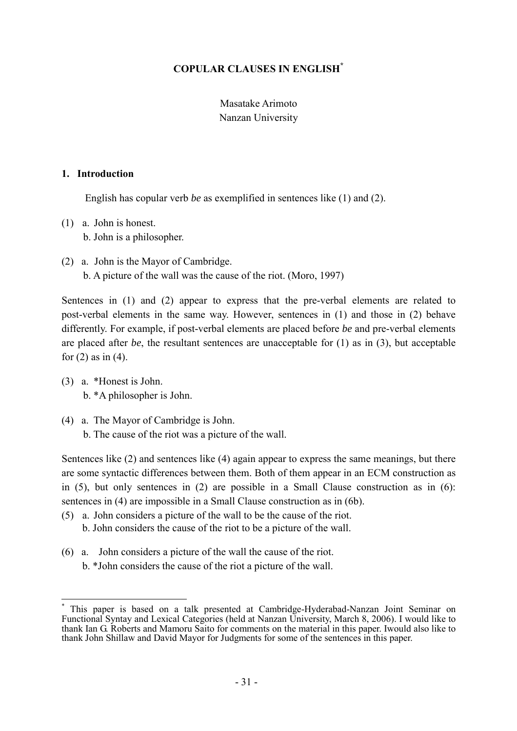### **COPULAR CLAUSES IN ENGLISH[\\*](#page-0-0)**

#### Masatake Arimoto Nanzan University

#### **1. Introduction**

English has copular verb *be* as exemplified in sentences like (1) and (2).

- (1) a. John is honest. b. John is a philosopher.
- (2) a. John is the Mayor of Cambridge. b. A picture of the wall was the cause of the riot. (Moro, 1997)

Sentences in (1) and (2) appear to express that the pre-verbal elements are related to post-verbal elements in the same way. However, sentences in (1) and those in (2) behave differently. For example, if post-verbal elements are placed before *be* and pre-verbal elements are placed after *be*, the resultant sentences are unacceptable for (1) as in (3), but acceptable for  $(2)$  as in  $(4)$ .

(3) a. \*Honest is John. b. \*A philosopher is John.

 $\overline{a}$ 

(4) a. The Mayor of Cambridge is John. b. The cause of the riot was a picture of the wall.

Sentences like (2) and sentences like (4) again appear to express the same meanings, but there are some syntactic differences between them. Both of them appear in an ECM construction as in (5), but only sentences in (2) are possible in a Small Clause construction as in (6): sentences in (4) are impossible in a Small Clause construction as in (6b).

- (5) a. John considers a picture of the wall to be the cause of the riot. b. John considers the cause of the riot to be a picture of the wall.
- (6) a. John considers a picture of the wall the cause of the riot. b. \*John considers the cause of the riot a picture of the wall.

<span id="page-0-0"></span><sup>\*</sup> This paper is based on a talk presented at Cambridge-Hyderabad-Nanzan Joint Seminar on Functional Syntay and Lexical Categories (held at Nanzan University, March 8, 2006). I would like to thank Ian G. Roberts and Mamoru Saito for comments on the material in this paper. Iwould also like to thank John Shillaw and David Mayor for Judgments for some of the sentences in this paper.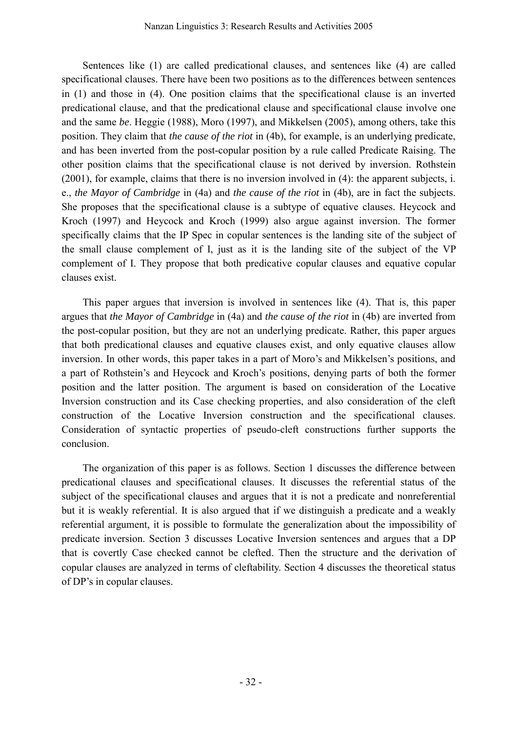Sentences like (1) are called predicational clauses, and sentences like (4) are called specificational clauses. There have been two positions as to the differences between sentences in (1) and those in (4). One position claims that the specificational clause is an inverted predicational clause, and that the predicational clause and specificational clause involve one and the same *be*. Heggie (1988), Moro (1997), and Mikkelsen (2005), among others, take this position. They claim that *the cause of the riot* in (4b), for example, is an underlying predicate, and has been inverted from the post-copular position by a rule called Predicate Raising. The other position claims that the specificational clause is not derived by inversion. Rothstein (2001), for example, claims that there is no inversion involved in (4): the apparent subjects, i. e., *the Mayor of Cambridge* in (4a) and *the cause of the riot* in (4b), are in fact the subjects. She proposes that the specificational clause is a subtype of equative clauses. Heycock and Kroch (1997) and Heycock and Kroch (1999) also argue against inversion. The former specifically claims that the IP Spec in copular sentences is the landing site of the subject of the small clause complement of I, just as it is the landing site of the subject of the VP complement of I. They propose that both predicative copular clauses and equative copular clauses exist.

This paper argues that inversion is involved in sentences like (4). That is, this paper argues that *the Mayor of Cambridge* in (4a) and *the cause of the riot* in (4b) are inverted from the post-copular position, but they are not an underlying predicate. Rather, this paper argues that both predicational clauses and equative clauses exist, and only equative clauses allow inversion. In other words, this paper takes in a part of Moro's and Mikkelsen's positions, and a part of Rothstein's and Heycock and Kroch's positions, denying parts of both the former position and the latter position. The argument is based on consideration of the Locative Inversion construction and its Case checking properties, and also consideration of the cleft construction of the Locative Inversion construction and the specificational clauses. Consideration of syntactic properties of pseudo-cleft constructions further supports the conclusion.

The organization of this paper is as follows. Section 1 discusses the difference between predicational clauses and specificational clauses. It discusses the referential status of the subject of the specificational clauses and argues that it is not a predicate and nonreferential but it is weakly referential. It is also argued that if we distinguish a predicate and a weakly referential argument, it is possible to formulate the generalization about the impossibility of predicate inversion. Section 3 discusses Locative Inversion sentences and argues that a DP that is covertly Case checked cannot be clefted. Then the structure and the derivation of copular clauses are analyzed in terms of cleftability. Section 4 discusses the theoretical status of DP's in copular clauses.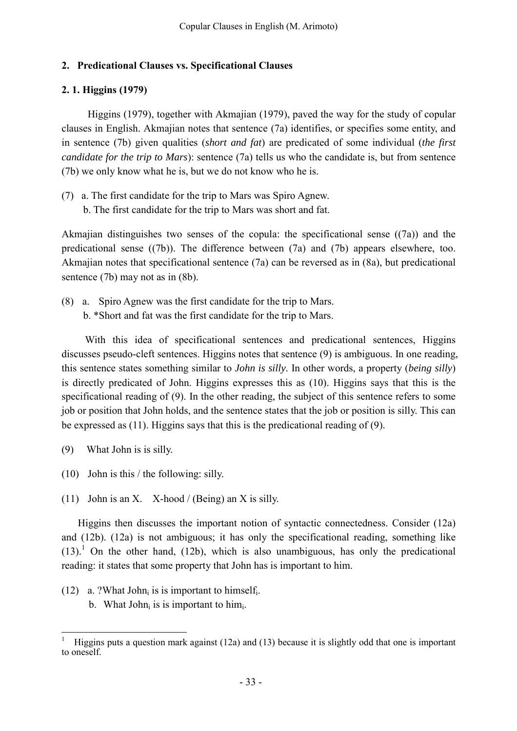### **2. Predicational Clauses vs. Specificational Clauses**

#### **2. 1. Higgins (1979)**

Higgins (1979), together with Akmajian (1979), paved the way for the study of copular clauses in English. Akmajian notes that sentence (7a) identifies, or specifies some entity, and in sentence (7b) given qualities (*short and fat*) are predicated of some individual (*the first candidate for the trip to Mars*): sentence (7a) tells us who the candidate is, but from sentence (7b) we only know what he is, but we do not know who he is.

(7) a. The first candidate for the trip to Mars was Spiro Agnew. b. The first candidate for the trip to Mars was short and fat.

Akmajian distinguishes two senses of the copula: the specificational sense ((7a)) and the predicational sense ((7b)). The difference between (7a) and (7b) appears elsewhere, too. Akmajian notes that specificational sentence (7a) can be reversed as in (8a), but predicational sentence (7b) may not as in (8b).

(8) a. Spiro Agnew was the first candidate for the trip to Mars. b. \*Short and fat was the first candidate for the trip to Mars.

With this idea of specificational sentences and predicational sentences, Higgins discusses pseudo-cleft sentences. Higgins notes that sentence (9) is ambiguous. In one reading, this sentence states something similar to *John is silly*. In other words, a property (*being silly*) is directly predicated of John. Higgins expresses this as (10). Higgins says that this is the specificational reading of (9). In the other reading, the subject of this sentence refers to some job or position that John holds, and the sentence states that the job or position is silly. This can be expressed as (11). Higgins says that this is the predicational reading of (9).

(9) What John is is silly.

 $\overline{a}$ 

- (10) John is this / the following: silly.
- (11) John is an X. X-hood / (Being) an X is silly.

Higgins then discusses the important notion of syntactic connectedness. Consider (12a) and (12b). (12a) is not ambiguous; it has only the specificational reading, something like  $(13)$  $(13)$  $(13)$ .<sup>1</sup> On the other hand, (12b), which is also unambiguous, has only the predicational reading: it states that some property that John has is important to him.

- (12) a. ?What John; is is important to himself;
	- b. What John $_i$  is is important to himi.

<span id="page-2-0"></span><sup>1</sup> Higgins puts a question mark against (12a) and (13) because it is slightly odd that one is important to oneself.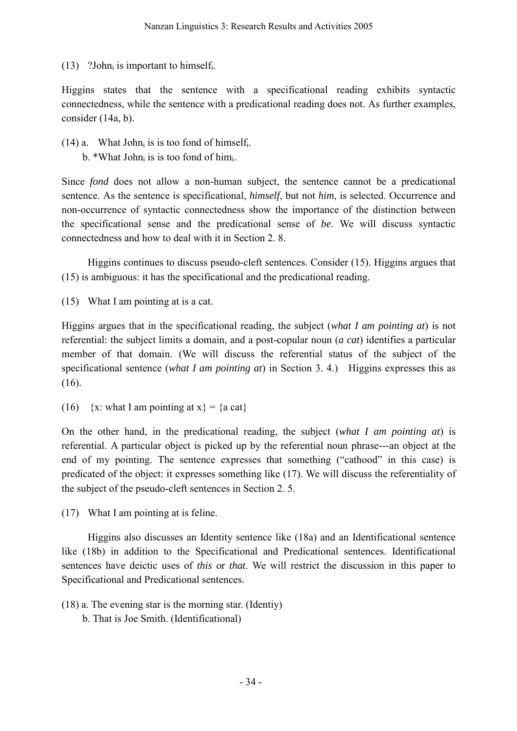(13) ?John<sub>i</sub> is important to himself<sub>i</sub>.

Higgins states that the sentence with a specificational reading exhibits syntactic connectedness, while the sentence with a predicational reading does not. As further examples, consider (14a, b).

- $(14)$  a. What John<sub>i</sub> is is too fond of himself.
	- b. \*What Johni is is too fond of himi.

Since *fond* does not allow a non-human subject, the sentence cannot be a predicational sentence. As the sentence is specificational, *himself*, but not *him*, is selected. Occurrence and non-occurrence of syntactic connectedness show the importance of the distinction between the specificational sense and the predicational sense of *be*. We will discuss syntactic connectedness and how to deal with it in Section 2. 8.

Higgins continues to discuss pseudo-cleft sentences. Consider (15). Higgins argues that (15) is ambiguous: it has the specificational and the predicational reading.

(15) What I am pointing at is a cat.

Higgins argues that in the specificational reading, the subject (*what I am pointing at*) is not referential: the subject limits a domain, and a post-copular noun (*a cat*) identifies a particular member of that domain. (We will discuss the referential status of the subject of the specificational sentence (*what I am pointing at*) in Section 3. 4.) Higgins expresses this as (16).

(16) {x: what I am pointing at  $x$ } = {a cat}

On the other hand, in the predicational reading, the subject (*what I am pointing at*) is referential. A particular object is picked up by the referential noun phrase---an object at the end of my pointing. The sentence expresses that something ("cathood" in this case) is predicated of the object: it expresses something like (17). We will discuss the referentiality of the subject of the pseudo-cleft sentences in Section 2. 5.

(17) What I am pointing at is feline.

Higgins also discusses an Identity sentence like (18a) and an Identificational sentence like (18b) in addition to the Specificational and Predicational sentences. Identificational sentences have deictic uses of *this* or *that*. We will restrict the discussion in this paper to Specificational and Predicational sentences.

- (18) a. The evening star is the morning star. (Identiy)
	- b. That is Joe Smith. (Identificational)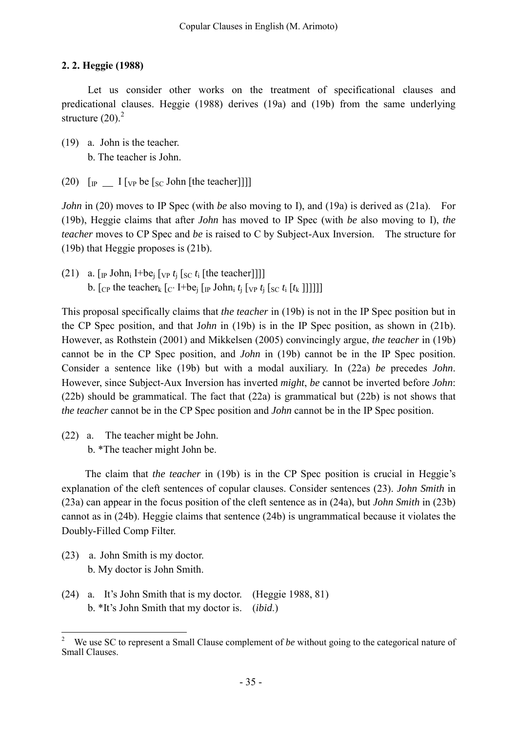# **2. 2. Heggie (1988)**

 Let us consider other works on the treatment of specificational clauses and predicational clauses. Heggie (1988) derives (19a) and (19b) from the same underlying structure  $(20).<sup>2</sup>$  $(20).<sup>2</sup>$  $(20).<sup>2</sup>$ 

- (19) a. John is the teacher. b. The teacher is John.
- (20)  $\lceil p \rfloor$  I  $\lceil \vee p \rceil$  be  $\lceil \cdot \rfloor$  so John [the teacher]]]

*John* in (20) moves to IP Spec (with *be* also moving to I), and (19a) is derived as (21a). For (19b), Heggie claims that after *John* has moved to IP Spec (with *be* also moving to I), *the teacher* moves to CP Spec and *be* is raised to C by Subject-Aux Inversion. The structure for (19b) that Heggie proposes is (21b).

(21) a.  $\lceil p \cdot \text{John}_i \rceil + \text{be}_i \lceil \text{VP}_i \rceil \rceil \text{S} \rceil$  *t*<sub>i</sub> [the teacher]]] b. [ $_{CP}$  the teacher<sub>k</sub>  $\left[_{C'}$  I+be<sub>i</sub>  $\left[_{IP}$  John<sub>i</sub>  $t_i$   $\left[\sqrt{p} t_i \right]_{S}$  $\left[\sqrt{t_k} \right]$ ]]]]]

This proposal specifically claims that *the teacher* in (19b) is not in the IP Spec position but in the CP Spec position, and that J*ohn* in (19b) is in the IP Spec position, as shown in (21b). However, as Rothstein (2001) and Mikkelsen (2005) convincingly argue, *the teacher* in (19b) cannot be in the CP Spec position, and *John* in (19b) cannot be in the IP Spec position. Consider a sentence like (19b) but with a modal auxiliary. In (22a) *be* precedes *John*. However, since Subject-Aux Inversion has inverted *might*, *be* cannot be inverted before *John*: (22b) should be grammatical. The fact that (22a) is grammatical but (22b) is not shows that *the teacher* cannot be in the CP Spec position and *John* cannot be in the IP Spec position.

(22) a. The teacher might be John. b. \*The teacher might John be.

 The claim that *the teacher* in (19b) is in the CP Spec position is crucial in Heggie's explanation of the cleft sentences of copular clauses. Consider sentences (23). *John Smith* in (23a) can appear in the focus position of the cleft sentence as in (24a), but *John Smith* in (23b) cannot as in (24b). Heggie claims that sentence (24b) is ungrammatical because it violates the Doubly-Filled Comp Filter.

(23) a. John Smith is my doctor. b. My doctor is John Smith.

 $\overline{a}$ 

(24) a. It's John Smith that is my doctor. (Heggie 1988, 81) b. \*It's John Smith that my doctor is. (*ibid*.)

<span id="page-4-0"></span><sup>2</sup> We use SC to represent a Small Clause complement of *be* without going to the categorical nature of Small Clauses.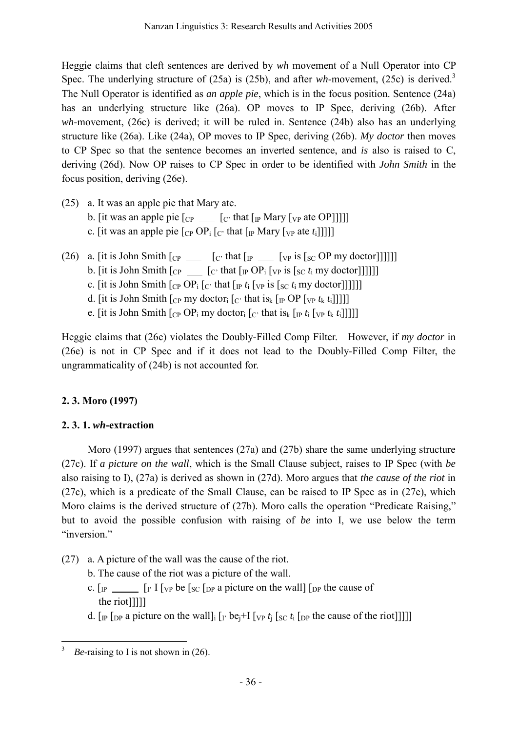Heggie claims that cleft sentences are derived by *wh* movement of a Null Operator into CP Spec. The underlying structure of (25a) is (25b), and after *wh*-movement, (25c) is derived.<sup>[3](#page-5-0)</sup> The Null Operator is identified as *an apple pie*, which is in the focus position. Sentence (24a) has an underlying structure like (26a). OP moves to IP Spec, deriving (26b). After *wh*-movement, (26c) is derived; it will be ruled in. Sentence (24b) also has an underlying structure like (26a). Like (24a), OP moves to IP Spec, deriving (26b). *My doctor* then moves to CP Spec so that the sentence becomes an inverted sentence, and *is* also is raised to C, deriving (26d). Now OP raises to CP Spec in order to be identified with *John Smith* in the focus position, deriving (26e).

- (25) a. It was an apple pie that Mary ate. b. [it was an apple pie  $\lbrack_{\rm CP} \ \_\_\_$  [ $_{\rm C'}$  that  $\lbrack_{\rm IP}$  Mary  $\lbrack_{\rm VP}$  ate OP]]]]] c. [it was an apple pie  $\lceil_{CP} OP_i \rceil_c$  that  $\lceil_{IP}$  Mary  $\lceil_{VP}$  ate  $t_i \rceil$ ]]]]
- (26) a. [it is John Smith  $\begin{bmatrix} C^p \end{bmatrix}$  [c' that  $\begin{bmatrix} \mathbb{I}^p \end{bmatrix}$  [vp is  $\begin{bmatrix} \begin{bmatrix} \text{SC} \text{OP} \text{my doctor} \end{bmatrix} \end{bmatrix}$ ]] b. [it is John Smith  $\begin{bmatrix} C \\ C \end{bmatrix}$  [c' that  $\begin{bmatrix} I_P \\ Q \end{bmatrix}$  [vp is  $\begin{bmatrix} S_C & t_i \end{bmatrix}$  my doctor]]]]]] c. [it is John Smith  $[CP OP_i]$   $[CP I_i]$  [vp is  $[sC t_i]$  my doctor]]]]]] d. [it is John Smith  $\lceil \frac{C_P}{P} \rceil$  my doctor<sub>i</sub>  $\lceil \frac{C_P}{P} \rceil$  that is<sub>k</sub>  $\lceil \frac{D_P}{P} \rceil$  [<sub>VP</sub>  $t_k$   $t_i$ ]]]]] e. [it is John Smith  $\lceil \frac{C_P}{C_P} \cdot \frac{C_P}{C_P} \cdot \frac{C_P}{C_P} \cdot \frac{C_P}{C_P} \cdot \frac{C_P}{C_P} \cdot \frac{C_P}{C_P} \cdot \frac{C_P}{C_P} \cdot \frac{C_P}{C_P} \cdot \frac{C_P}{C_P} \cdot \frac{C_P}{C_P} \cdot \frac{C_P}{C_P} \cdot \frac{C_P}{C_P} \cdot \frac{C_P}{C_P} \cdot \frac{C_P}{C_P} \cdot \frac{C_P}{C_P} \cdot \frac{C_P}{C_P} \cdot \frac{C_P}{C_P} \cdot \frac{C_P}{C_P}$

Heggie claims that (26e) violates the Doubly-Filled Comp Filter. However, if *my doctor* in (26e) is not in CP Spec and if it does not lead to the Doubly-Filled Comp Filter, the ungrammaticality of (24b) is not accounted for.

# **2. 3. Moro (1997)**

# **2. 3. 1.** *wh***-extraction**

 Moro (1997) argues that sentences (27a) and (27b) share the same underlying structure (27c). If *a picture on the wall*, which is the Small Clause subject, raises to IP Spec (with *be* also raising to I), (27a) is derived as shown in (27d). Moro argues that *the cause of the riot* in (27c), which is a predicate of the Small Clause, can be raised to IP Spec as in (27e), which Moro claims is the derived structure of (27b). Moro calls the operation "Predicate Raising," but to avoid the possible confusion with raising of *be* into I, we use below the term "inversion."

- (27) a. A picture of the wall was the cause of the riot.
	- b. The cause of the riot was a picture of the wall.
	- c.  $\left[\mathbb{I}_{P} \right]$  [ $\left[\mathbb{I}_{P} \right]$   $\left[\mathbb{I}_{P} \right]$  be  $\left[\mathbb{I}_{S} \right]$  a picture on the wall  $\left[\mathbb{I}_{P} \right]$  the cause of the riot]]]]]
	- d. [IP [DP a picture on the wall]i [I' bej+I [VP *t*j [SC *t*i [DP the cause of the riot]]]]]

<span id="page-5-0"></span> $\overline{a}$ 3 *Be*-raising to I is not shown in (26).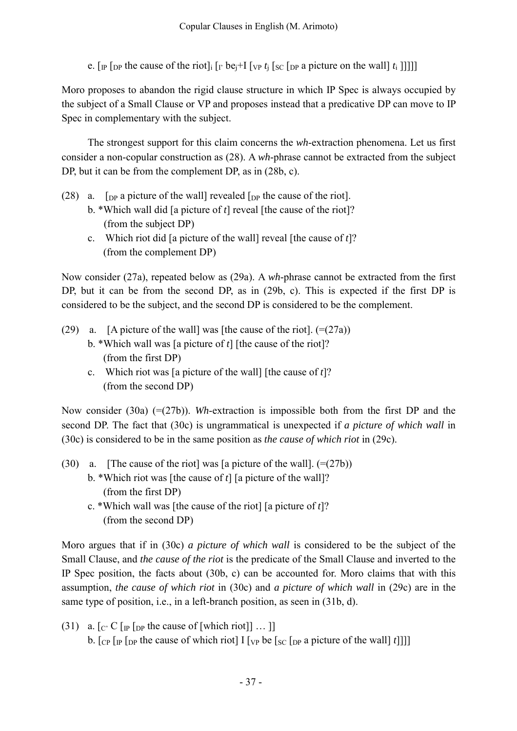e. [IP [DP the cause of the riot]i [I' bej+I [VP *t*j [SC [DP a picture on the wall] *t*i ]]]]]

Moro proposes to abandon the rigid clause structure in which IP Spec is always occupied by the subject of a Small Clause or VP and proposes instead that a predicative DP can move to IP Spec in complementary with the subject.

The strongest support for this claim concerns the *wh*-extraction phenomena. Let us first consider a non-copular construction as (28). A *wh*-phrase cannot be extracted from the subject DP, but it can be from the complement DP, as in (28b, c).

- (28) a. [DP a picture of the wall] revealed  $\lceil_{DP}$  the cause of the riot].
	- b. \*Which wall did [a picture of *t*] reveal [the cause of the riot]? (from the subject DP)
	- c. Which riot did [a picture of the wall] reveal [the cause of *t*]? (from the complement DP)

Now consider (27a), repeated below as (29a). A *wh*-phrase cannot be extracted from the first DP, but it can be from the second DP, as in (29b, c). This is expected if the first DP is considered to be the subject, and the second DP is considered to be the complement.

- (29) a. [A picture of the wall] was [the cause of the riot].  $(=(27a))$ b. \*Which wall was [a picture of *t*] [the cause of the riot]? (from the first DP)
	- c. Which riot was [a picture of the wall] [the cause of *t*]? (from the second DP)

Now consider (30a) (=(27b)). *Wh*-extraction is impossible both from the first DP and the second DP. The fact that (30c) is ungrammatical is unexpected if *a picture of which wall* in (30c) is considered to be in the same position as *the cause of which riot* in (29c).

- (30) a. [The cause of the riot] was [a picture of the wall].  $(=(27b))$ b. \*Which riot was [the cause of *t*] [a picture of the wall]? (from the first DP)
	- c. \*Which wall was [the cause of the riot] [a picture of *t*]? (from the second DP)

Moro argues that if in (30c) *a picture of which wall* is considered to be the subject of the Small Clause, and *the cause of the riot* is the predicate of the Small Clause and inverted to the IP Spec position, the facts about (30b, c) can be accounted for. Moro claims that with this assumption, *the cause of which riot* in (30c) and *a picture of which wall* in (29c) are in the same type of position, i.e., in a left-branch position, as seen in (31b, d).

(31) a.  $\lbrack C \rbrack P$  [DP the cause of [which riot]] ... ]] b.  $\lceil \frac{C}{C} \rceil$  [<sub>D</sub>P the cause of which riot] I  $\lceil \frac{C}{C} \rceil$  [<sub>DP</sub> a picture of the wall] *t*]]]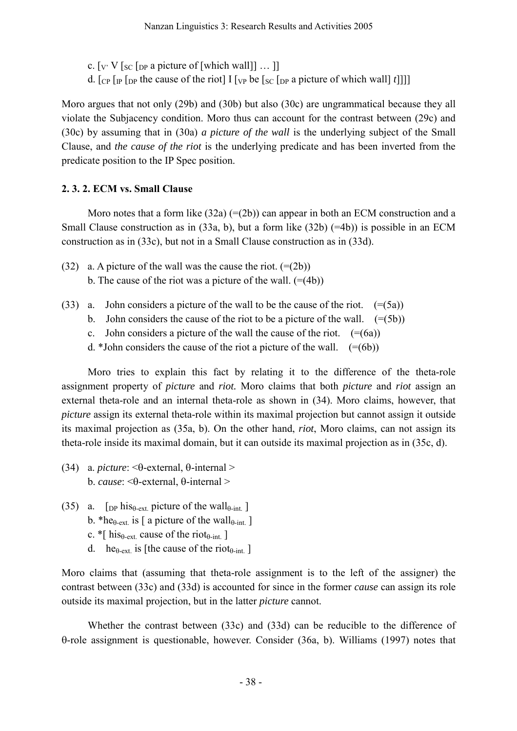c.  $[v: V]_{SC}$  [<sub>DP</sub> a picture of [which wall]] ... ]]

d.  $\left[\begin{array}{cc} \text{CP} \left[\begin{array}{cc} \text{DP} \left( \text{DP} \text{ the case of the root} \right) \end{array} \right] \end{array} \right]$  [ $\text{VP} \left[\begin{array}{cc} \text{DP} \left( \text{DP} \text{ the case of which well} \right) \end{array} \right]$ ]]

Moro argues that not only (29b) and (30b) but also (30c) are ungrammatical because they all violate the Subjacency condition. Moro thus can account for the contrast between (29c) and (30c) by assuming that in (30a) *a picture of the wall* is the underlying subject of the Small Clause, and *the cause of the riot* is the underlying predicate and has been inverted from the predicate position to the IP Spec position.

# **2. 3. 2. ECM vs. Small Clause**

Moro notes that a form like  $(32a)$  (=(2b)) can appear in both an ECM construction and a Small Clause construction as in (33a, b), but a form like (32b) (=4b)) is possible in an ECM construction as in (33c), but not in a Small Clause construction as in (33d).

- (32) a. A picture of the wall was the cause the riot.  $(=(2b))$ b. The cause of the riot was a picture of the wall.  $(=(4b))$
- (33) a. John considers a picture of the wall to be the cause of the riot.  $(=(5a))$ 
	- b. John considers the cause of the riot to be a picture of the wall.  $(=(5b))$
	- c. John considers a picture of the wall the cause of the riot.  $(=(6a))$
	- d. \*John considers the cause of the riot a picture of the wall.  $(=(6b))$

 Moro tries to explain this fact by relating it to the difference of the theta-role assignment property of *picture* and *riot.* Moro claims that both *picture* and *riot* assign an external theta-role and an internal theta-role as shown in (34). Moro claims, however, that *picture* assign its external theta-role within its maximal projection but cannot assign it outside its maximal projection as (35a, b). On the other hand, *riot*, Moro claims, can not assign its theta-role inside its maximal domain, but it can outside its maximal projection as in (35c, d).

- (34) a. *picture*: <θ-external, θ-internal > b. *cause*: <θ-external, θ-internal >
- (35) a. [ $DP$  his $_{\theta$ -ext. picture of the wall $_{\theta$ -int.]
	- b. \*he<sub> $\theta$ -ext.</sub> is [ a picture of the wall<sub> $\theta$ -int. ]</sub>
	- c. \*[ his<sub> $\theta$ -ext.</sub> cause of the riot $_{\theta$ -int.]
	- d. he<sub> $\theta$ -ext</sub> is [the cause of the riot<sub> $\theta$ -int.]</sub>

Moro claims that (assuming that theta-role assignment is to the left of the assigner) the contrast between (33c) and (33d) is accounted for since in the former *cause* can assign its role outside its maximal projection, but in the latter *picture* cannot.

Whether the contrast between (33c) and (33d) can be reducible to the difference of θ-role assignment is questionable, however. Consider (36a, b). Williams (1997) notes that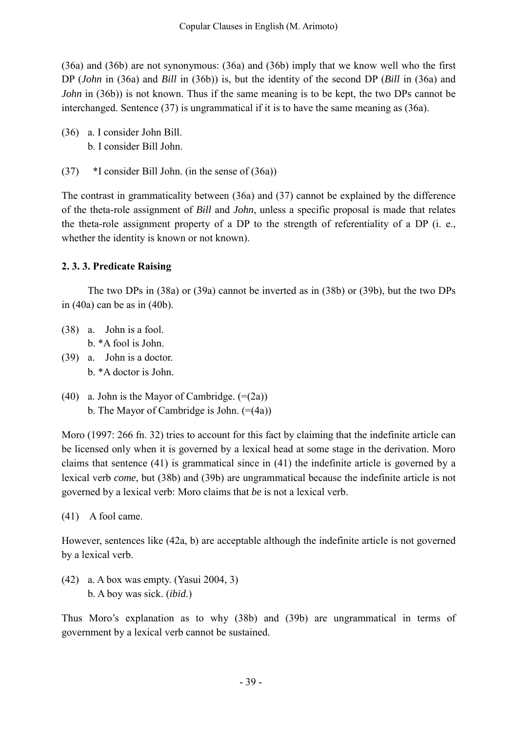(36a) and (36b) are not synonymous: (36a) and (36b) imply that we know well who the first DP (*John* in (36a) and *Bill* in (36b)) is, but the identity of the second DP (*Bill* in (36a) and *John* in (36b)) is not known. Thus if the same meaning is to be kept, the two DPs cannot be interchanged. Sentence (37) is ungrammatical if it is to have the same meaning as (36a).

- (36) a. I consider John Bill. b. I consider Bill John.
- (37) \*I consider Bill John. (in the sense of (36a))

The contrast in grammaticality between (36a) and (37) cannot be explained by the difference of the theta-role assignment of *Bill* and *John*, unless a specific proposal is made that relates the theta-role assignment property of a DP to the strength of referentiality of a DP (i. e., whether the identity is known or not known).

### **2. 3. 3. Predicate Raising**

 The two DPs in (38a) or (39a) cannot be inverted as in (38b) or (39b), but the two DPs in (40a) can be as in (40b).

- (38) a. John is a fool. b. \*A fool is John.
- (39) a. John is a doctor. b. \*A doctor is John.
- (40) a. John is the Mayor of Cambridge.  $(=(2a))$ b. The Mayor of Cambridge is John.  $(=(4a))$

Moro (1997: 266 fn. 32) tries to account for this fact by claiming that the indefinite article can be licensed only when it is governed by a lexical head at some stage in the derivation. Moro claims that sentence (41) is grammatical since in (41) the indefinite article is governed by a lexical verb *come*, but (38b) and (39b) are ungrammatical because the indefinite article is not governed by a lexical verb: Moro claims that *be* is not a lexical verb.

(41) A fool came.

However, sentences like (42a, b) are acceptable although the indefinite article is not governed by a lexical verb.

(42) a. A box was empty. (Yasui 2004, 3) b. A boy was sick. (*ibid*.)

Thus Moro's explanation as to why (38b) and (39b) are ungrammatical in terms of government by a lexical verb cannot be sustained.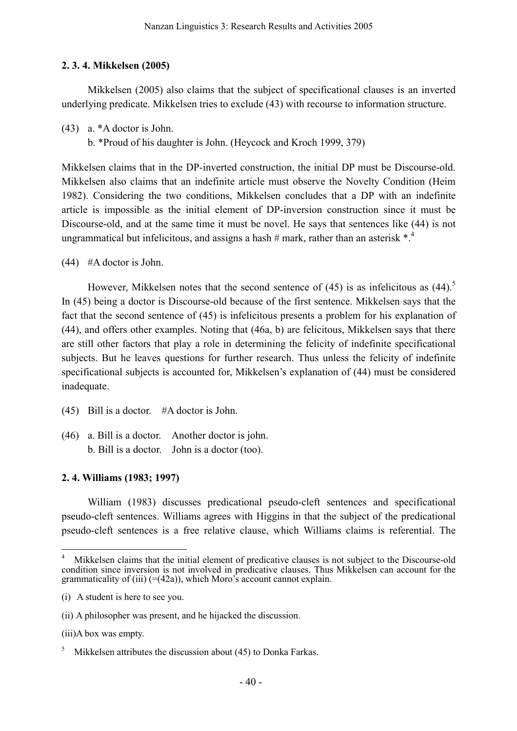#### **2. 3. 4. Mikkelsen (2005)**

 Mikkelsen (2005) also claims that the subject of specificational clauses is an inverted underlying predicate. Mikkelsen tries to exclude (43) with recourse to information structure.

- (43) a. \*A doctor is John.
	- b. \*Proud of his daughter is John. (Heycock and Kroch 1999, 379)

Mikkelsen claims that in the DP-inverted construction, the initial DP must be Discourse-old. Mikkelsen also claims that an indefinite article must observe the Novelty Condition (Heim 1982). Considering the two conditions, Mikkelsen concludes that a DP with an indefinite article is impossible as the initial element of DP-inversion construction since it must be Discourse-old, and at the same time it must be novel. He says that sentences like (44) is not ungrammatical but infelicitous, and assigns a hash # mark, rather than an asterisk  $*$ .<sup>[4](#page-9-0)</sup>

(44) #A doctor is John.

However, Mikkelsen notes that the second sentence of  $(45)$  $(45)$  $(45)$  is as infelicitous as  $(44)$ .<sup>5</sup> In (45) being a doctor is Discourse-old because of the first sentence. Mikkelsen says that the fact that the second sentence of (45) is infelicitous presents a problem for his explanation of (44), and offers other examples. Noting that (46a, b) are felicitous, Mikkelsen says that there are still other factors that play a role in determining the felicity of indefinite specificational subjects. But he leaves questions for further research. Thus unless the felicity of indefinite specificational subjects is accounted for, Mikkelsen's explanation of (44) must be considered inadequate.

- (45) Bill is a doctor. #A doctor is John.
- (46) a. Bill is a doctor. Another doctor is john. b. Bill is a doctor. John is a doctor (too).

#### **2. 4. Williams (1983; 1997)**

William (1983) discusses predicational pseudo-cleft sentences and specificational pseudo-cleft sentences. Williams agrees with Higgins in that the subject of the predicational pseudo-cleft sentences is a free relative clause, which Williams claims is referential. The

(iii)A box was empty.

 $\overline{a}$ 

<span id="page-9-0"></span><sup>4</sup> Mikkelsen claims that the initial element of predicative clauses is not subject to the Discourse-old condition since inversion is not involved in predicative clauses. Thus Mikkelsen can account for the grammaticality of (iii)  $(=(42a))$ , which Moro's account cannot explain.

<sup>(</sup>i) A student is here to see you.

<sup>(</sup>ii) A philosopher was present, and he hijacked the discussion.

<span id="page-9-1"></span><sup>&</sup>lt;sup>5</sup> Mikkelsen attributes the discussion about (45) to Donka Farkas.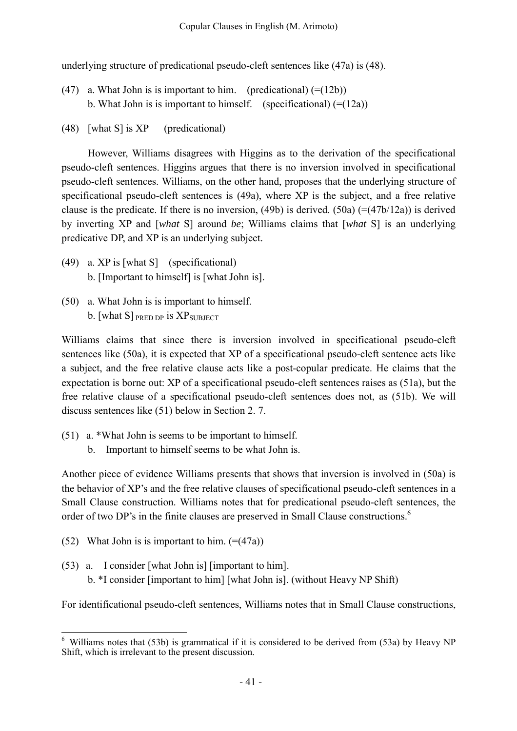underlying structure of predicational pseudo-cleft sentences like (47a) is (48).

- (47) a. What John is is important to him. (predicational)  $(=(12b))$ b. What John is is important to himself. (specificational)  $(=(12a))$
- (48) [what S] is XP (predicational)

 However, Williams disagrees with Higgins as to the derivation of the specificational pseudo-cleft sentences. Higgins argues that there is no inversion involved in specificational pseudo-cleft sentences. Williams, on the other hand, proposes that the underlying structure of specificational pseudo-cleft sentences is (49a), where XP is the subject, and a free relative clause is the predicate. If there is no inversion,  $(49b)$  is derived.  $(50a)$  (= $(47b/12a)$ ) is derived by inverting XP and [*what* S] around *be*; Williams claims that [*what* S] is an underlying predicative DP, and XP is an underlying subject.

- (49) a. XP is [what S] (specificational) b. [Important to himself] is [what John is].
- (50) a. What John is is important to himself. b. [what  $S$ ] PRED DP is  $XP_{SUBJECT}$

Williams claims that since there is inversion involved in specificational pseudo-cleft sentences like (50a), it is expected that XP of a specificational pseudo-cleft sentence acts like a subject, and the free relative clause acts like a post-copular predicate. He claims that the expectation is borne out: XP of a specificational pseudo-cleft sentences raises as (51a), but the free relative clause of a specificational pseudo-cleft sentences does not, as (51b). We will discuss sentences like (51) below in Section 2. 7.

- (51) a. \*What John is seems to be important to himself.
	- b. Important to himself seems to be what John is.

Another piece of evidence Williams presents that shows that inversion is involved in (50a) is the behavior of XP's and the free relative clauses of specificational pseudo-cleft sentences in a Small Clause construction. Williams notes that for predicational pseudo-cleft sentences, the order of two DP's in the finite clauses are preserved in Small Clause constructions.<sup>[6](#page-10-0)</sup>

(52) What John is is important to him.  $(=(47a))$ 

 $\overline{a}$ 

(53) a. I consider [what John is] [important to him]. b. \*I consider [important to him] [what John is]. (without Heavy NP Shift)

For identificational pseudo-cleft sentences, Williams notes that in Small Clause constructions,

<span id="page-10-0"></span><sup>&</sup>lt;sup>6</sup> Williams notes that (53b) is grammatical if it is considered to be derived from (53a) by Heavy NP Shift, which is irrelevant to the present discussion.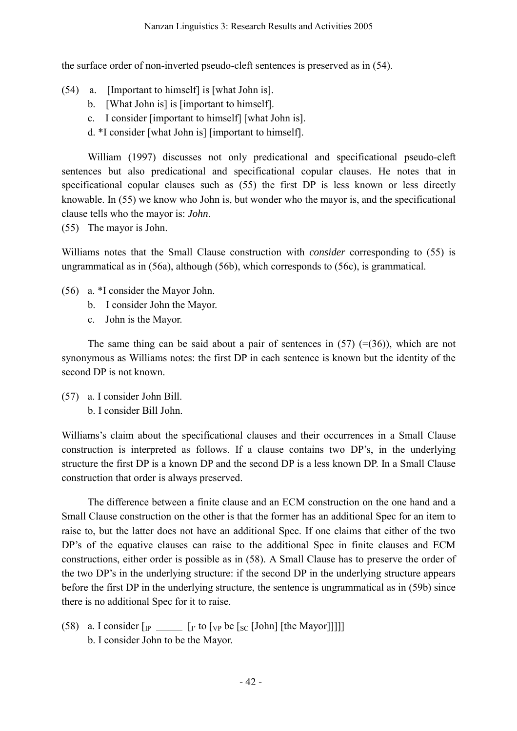the surface order of non-inverted pseudo-cleft sentences is preserved as in (54).

- (54) a. [Important to himself] is [what John is].
	- b. [What John is] is [important to himself].
	- c. I consider [important to himself] [what John is].
	- d. \*I consider [what John is] [important to himself].

William (1997) discusses not only predicational and specificational pseudo-cleft sentences but also predicational and specificational copular clauses. He notes that in specificational copular clauses such as (55) the first DP is less known or less directly knowable. In (55) we know who John is, but wonder who the mayor is, and the specificational clause tells who the mayor is: *John*.

(55) The mayor is John.

Williams notes that the Small Clause construction with *consider* corresponding to (55) is ungrammatical as in (56a), although (56b), which corresponds to (56c), is grammatical.

- (56) a. \*I consider the Mayor John.
	- b. I consider John the Mayor.
	- c. John is the Mayor.

The same thing can be said about a pair of sentences in  $(57)$  (=(36)), which are not synonymous as Williams notes: the first DP in each sentence is known but the identity of the second DP is not known.

(57) a. I consider John Bill. b. I consider Bill John.

Williams's claim about the specificational clauses and their occurrences in a Small Clause construction is interpreted as follows. If a clause contains two DP's, in the underlying structure the first DP is a known DP and the second DP is a less known DP. In a Small Clause construction that order is always preserved.

 The difference between a finite clause and an ECM construction on the one hand and a Small Clause construction on the other is that the former has an additional Spec for an item to raise to, but the latter does not have an additional Spec. If one claims that either of the two DP's of the equative clauses can raise to the additional Spec in finite clauses and ECM constructions, either order is possible as in (58). A Small Clause has to preserve the order of the two DP's in the underlying structure: if the second DP in the underlying structure appears before the first DP in the underlying structure, the sentence is ungrammatical as in (59b) since there is no additional Spec for it to raise.

(58) a. I consider  $\lceil \mathbf{I} \rceil$  [ $\lceil \mathbf{I} \rceil$  to  $\lceil \mathbf{I} \rceil$  to  $\lceil \mathbf{I} \rceil$  to  $\lceil \mathbf{I} \rceil$  [ $\lceil \mathbf{I} \rceil$  to  $\lceil \mathbf{I} \rceil$  to  $\lceil \mathbf{I} \rceil$  and  $\lceil \mathbf{I} \rceil$  if the Mayor]]]]] b. I consider John to be the Mayor.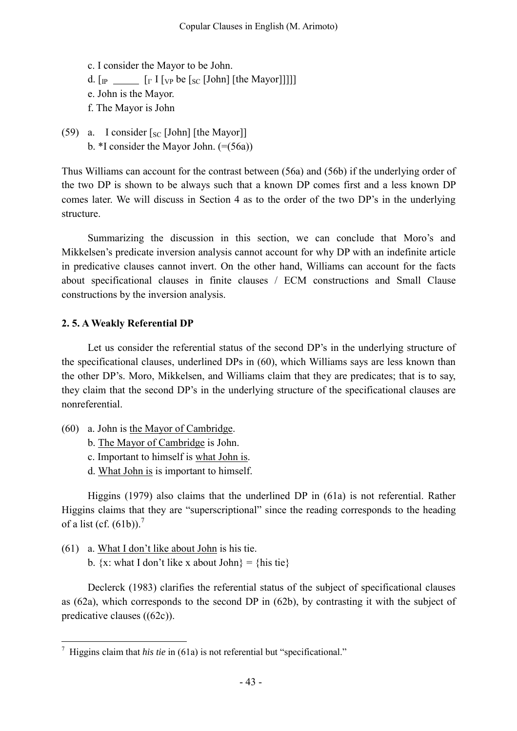c. I consider the Mayor to be John. d.  $\left[\begin{smallmatrix}I_{\text{P}} & \cdots & I_{\text{V}}\end{smallmatrix}\right]$  [ $\left[\begin{smallmatrix}I_{\text{V}} & \cdots & I_{\text{S}}\end{smallmatrix}\right]$  [ $\left[\begin{smallmatrix}I_{\text{P}} & \cdots & I_{\text{S}}\end{smallmatrix}\right]$ ]]] e. John is the Mayor. f. The Mayor is John

(59) a. I consider  $\lceil \sec \sqrt{(\text{John})} \rfloor$  [the Mayor]] b.  $*$ I consider the Mayor John.  $(=(56a))$ 

Thus Williams can account for the contrast between (56a) and (56b) if the underlying order of the two DP is shown to be always such that a known DP comes first and a less known DP comes later. We will discuss in Section 4 as to the order of the two DP's in the underlying structure.

Summarizing the discussion in this section, we can conclude that Moro's and Mikkelsen's predicate inversion analysis cannot account for why DP with an indefinite article in predicative clauses cannot invert. On the other hand, Williams can account for the facts about specificational clauses in finite clauses / ECM constructions and Small Clause constructions by the inversion analysis.

### **2. 5. A Weakly Referential DP**

 Let us consider the referential status of the second DP's in the underlying structure of the specificational clauses, underlined DPs in (60), which Williams says are less known than the other DP's. Moro, Mikkelsen, and Williams claim that they are predicates; that is to say, they claim that the second DP's in the underlying structure of the specificational clauses are nonreferential.

- (60) a. John is the Mayor of Cambridge.
	- b. The Mayor of Cambridge is John.
	- c. Important to himself is what John is.
	- d. What John is is important to himself.

Higgins (1979) also claims that the underlined DP in (61a) is not referential. Rather Higgins claims that they are "superscriptional" since the reading corresponds to the heading of a list (cf.  $(61b)$ ).<sup>[7](#page-12-0)</sup>

(61) a. What I don't like about John is his tie. b.  $\{x: \text{what I don't like } x \text{ about John}\} = \{\text{his tie}\}\$ 

Declerck (1983) clarifies the referential status of the subject of specificational clauses as (62a), which corresponds to the second DP in (62b), by contrasting it with the subject of predicative clauses ((62c)).

<span id="page-12-0"></span><sup>&</sup>lt;sup>7</sup> Higgins claim that *his tie* in (61a) is not referential but "specificational."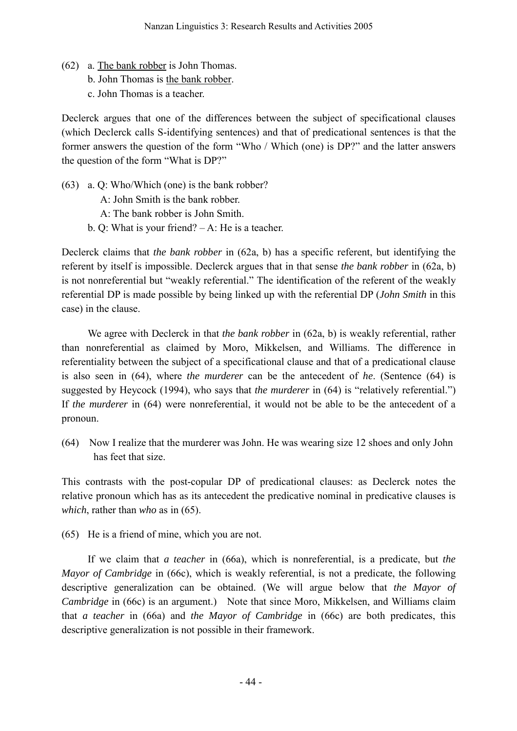(62) a. The bank robber is John Thomas. b. John Thomas is the bank robber. c. John Thomas is a teacher.

Declerck argues that one of the differences between the subject of specificational clauses (which Declerck calls S-identifying sentences) and that of predicational sentences is that the former answers the question of the form "Who / Which (one) is DP?" and the latter answers the question of the form "What is DP?"

(63) a. Q: Who/Which (one) is the bank robber?

A: John Smith is the bank robber.

A: The bank robber is John Smith.

b. Q: What is your friend? – A: He is a teacher.

Declerck claims that *the bank robber* in (62a, b) has a specific referent, but identifying the referent by itself is impossible. Declerck argues that in that sense *the bank robber* in (62a, b) is not nonreferential but "weakly referential." The identification of the referent of the weakly referential DP is made possible by being linked up with the referential DP (*John Smith* in this case) in the clause.

We agree with Declerck in that *the bank robber* in (62a, b) is weakly referential, rather than nonreferential as claimed by Moro, Mikkelsen, and Williams. The difference in referentiality between the subject of a specificational clause and that of a predicational clause is also seen in (64), where *the murderer* can be the antecedent of *he*. (Sentence (64) is suggested by Heycock (1994), who says that *the murderer* in (64) is "relatively referential.") If *the murderer* in (64) were nonreferential, it would not be able to be the antecedent of a pronoun.

(64) Now I realize that the murderer was John. He was wearing size 12 shoes and only John has feet that size.

This contrasts with the post-copular DP of predicational clauses: as Declerck notes the relative pronoun which has as its antecedent the predicative nominal in predicative clauses is *which*, rather than *who* as in (65).

(65) He is a friend of mine, which you are not.

 If we claim that *a teacher* in (66a), which is nonreferential, is a predicate, but *the Mayor of Cambridge* in (66c), which is weakly referential, is not a predicate, the following descriptive generalization can be obtained. (We will argue below that *the Mayor of Cambridge* in (66c) is an argument.) Note that since Moro, Mikkelsen, and Williams claim that *a teacher* in (66a) and *the Mayor of Cambridge* in (66c) are both predicates, this descriptive generalization is not possible in their framework.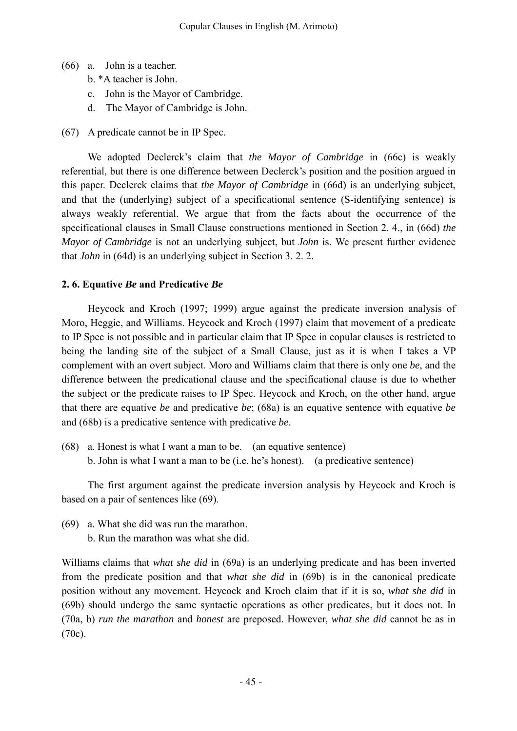- (66) a. John is a teacher.
	- b. \*A teacher is John.
	- c. John is the Mayor of Cambridge.
	- d. The Mayor of Cambridge is John.
- (67) A predicate cannot be in IP Spec.

We adopted Declerck's claim that *the Mayor of Cambridge* in (66c) is weakly referential, but there is one difference between Declerck's position and the position argued in this paper. Declerck claims that *the Mayor of Cambridge* in (66d) is an underlying subject, and that the (underlying) subject of a specificational sentence (S-identifying sentence) is always weakly referential. We argue that from the facts about the occurrence of the specificational clauses in Small Clause constructions mentioned in Section 2. 4., in (66d) *the Mayor of Cambridge* is not an underlying subject, but *John* is. We present further evidence that *John* in (64d) is an underlying subject in Section 3. 2. 2.

### **2. 6. Equative** *Be* **and Predicative** *Be*

Heycock and Kroch (1997; 1999) argue against the predicate inversion analysis of Moro, Heggie, and Williams. Heycock and Kroch (1997) claim that movement of a predicate to IP Spec is not possible and in particular claim that IP Spec in copular clauses is restricted to being the landing site of the subject of a Small Clause, just as it is when I takes a VP complement with an overt subject. Moro and Williams claim that there is only one *be*, and the difference between the predicational clause and the specificational clause is due to whether the subject or the predicate raises to IP Spec. Heycock and Kroch, on the other hand, argue that there are equative *be* and predicative *be*; (68a) is an equative sentence with equative *be* and (68b) is a predicative sentence with predicative *be*.

(68) a. Honest is what I want a man to be. (an equative sentence) b. John is what I want a man to be (i.e. he's honest). (a predicative sentence)

 The first argument against the predicate inversion analysis by Heycock and Kroch is based on a pair of sentences like (69).

(69) a. What she did was run the marathon. b. Run the marathon was what she did.

Williams claims that *what she did* in (69a) is an underlying predicate and has been inverted from the predicate position and that *what she did* in (69b) is in the canonical predicate position without any movement. Heycock and Kroch claim that if it is so, *what she did* in (69b) should undergo the same syntactic operations as other predicates, but it does not. In (70a, b) *run the marathon* and *honest* are preposed. However, *what she did* cannot be as in (70c).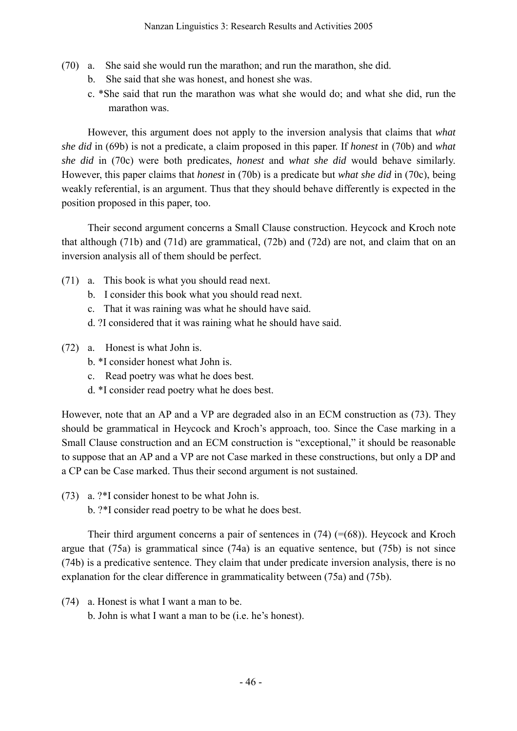- (70) a. She said she would run the marathon; and run the marathon, she did.
	- b. She said that she was honest, and honest she was.
	- c. \*She said that run the marathon was what she would do; and what she did, run the marathon was.

However, this argument does not apply to the inversion analysis that claims that *what she did* in (69b) is not a predicate, a claim proposed in this paper. If *honest* in (70b) and *what she did* in (70c) were both predicates, *honest* and *what she did* would behave similarly. However, this paper claims that *honest* in (70b) is a predicate but *what she did* in (70c), being weakly referential, is an argument. Thus that they should behave differently is expected in the position proposed in this paper, too.

 Their second argument concerns a Small Clause construction. Heycock and Kroch note that although (71b) and (71d) are grammatical, (72b) and (72d) are not, and claim that on an inversion analysis all of them should be perfect.

- (71) a. This book is what you should read next.
	- b. I consider this book what you should read next.
	- c. That it was raining was what he should have said.
	- d. ?I considered that it was raining what he should have said.
- (72) a. Honest is what John is.
	- b. \*I consider honest what John is.
	- c. Read poetry was what he does best.
	- d. \*I consider read poetry what he does best.

However, note that an AP and a VP are degraded also in an ECM construction as (73). They should be grammatical in Heycock and Kroch's approach, too. Since the Case marking in a Small Clause construction and an ECM construction is "exceptional," it should be reasonable to suppose that an AP and a VP are not Case marked in these constructions, but only a DP and a CP can be Case marked. Thus their second argument is not sustained.

- (73) a. ?\*I consider honest to be what John is.
	- b. ?\*I consider read poetry to be what he does best.

Their third argument concerns a pair of sentences in  $(74)$  (=(68)). Heycock and Kroch argue that (75a) is grammatical since (74a) is an equative sentence, but (75b) is not since (74b) is a predicative sentence. They claim that under predicate inversion analysis, there is no explanation for the clear difference in grammaticality between (75a) and (75b).

- (74) a. Honest is what I want a man to be.
	- b. John is what I want a man to be (i.e. he's honest).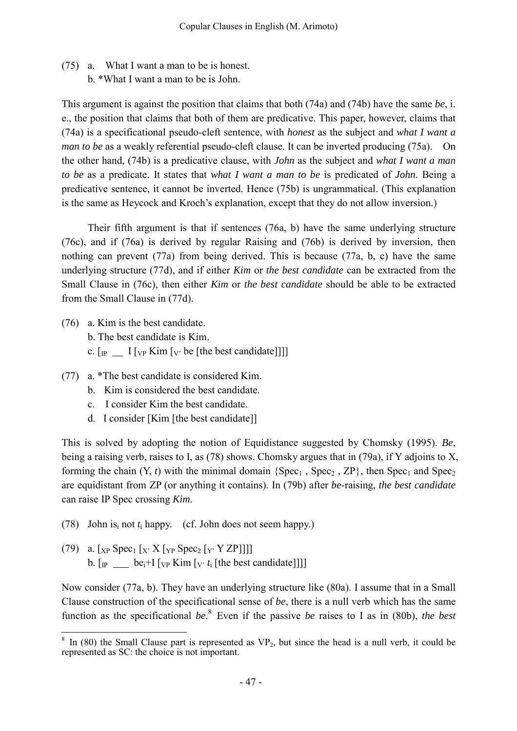(75) a. What I want a man to be is honest. b. \*What I want a man to be is John.

This argument is against the position that claims that both (74a) and (74b) have the same *be*, i. e., the position that claims that both of them are predicative. This paper, however, claims that (74a) is a specificational pseudo-cleft sentence, with *honest* as the subject and *what I want a man to be* as a weakly referential pseudo-cleft clause. It can be inverted producing (75a). On the other hand, (74b) is a predicative clause, with *John* as the subject and *what I want a man to be* as a predicate. It states that *what I want a man to be* is predicated of *John*. Being a predicative sentence, it cannot be inverted. Hence (75b) is ungrammatical. (This explanation is the same as Heycock and Kroch's explanation, except that they do not allow inversion.)

Their fifth argument is that if sentences (76a, b) have the same underlying structure (76c), and if (76a) is derived by regular Raising and (76b) is derived by inversion, then nothing can prevent (77a) from being derived. This is because (77a, b, c) have the same underlying structure (77d), and if either *Kim* or *the best candidate* can be extracted from the Small Clause in (76c), then either *Kim* or *the best candidate* should be able to be extracted from the Small Clause in (77d).

- (76) a. Kim is the best candidate. b. The best candidate is Kim. c.  $\lceil \mathbf{I} \rceil$   $\lceil \mathbf{I} \rceil$   $\lceil \mathbf{V} \rceil$   $\lceil \mathbf{V} \rceil$   $\lceil \mathbf{V} \rceil$  be  $\lceil \mathbf{I} \rceil$  the best candidate
- (77) a. \*The best candidate is considered Kim.
	- b. Kim is considered the best candidate.
	- c. I consider Kim the best candidate.
	- d. I consider [Kim [the best candidate]]

This is solved by adopting the notion of Equidistance suggested by Chomsky (1995). *Be*, being a raising verb, raises to I, as (78) shows. Chomsky argues that in (79a), if Y adjoins to X, forming the chain  $(Y, t)$  with the minimal domain  $\{Spec_1, Spec_2, ZP\}$ , then  $Spec_1$  and  $Spec_2$ are equidistant from ZP (or anything it contains). In (79b) after *be*-raising, *the best candidate*  can raise IP Spec crossing *Kim*.

- (78) John isi not *t*i happy. (cf. John does not seem happy.)
- (79) a.  $\lceil_{XP}$  Spec<sub>1</sub>  $\lceil_{X'} X \rceil_{YP}$  Spec<sub>2</sub>  $\lceil_{Y'} Y ZP \rceil \rceil$ ]] b.  $\lceil p \rceil$  be<sub>i</sub>+I  $\lceil \sqrt{p} \rceil$  Kim  $\lceil \sqrt{v} \cdot t_i \rceil$  [the best candidate]]]

 $\overline{a}$ 

Now consider (77a, b). They have an underlying structure like (80a). I assume that in a Small Clause construction of the specificational sense of *be*, there is a null verb which has the same function as the specificational *be*. [8](#page-16-0) Even if the passive *be* raises to I as in (80b), *the best* 

<span id="page-16-0"></span> $8 \text{ In } (80)$  the Small Clause part is represented as VP<sub>2</sub>, but since the head is a null verb, it could be represented as SC: the choice is not important.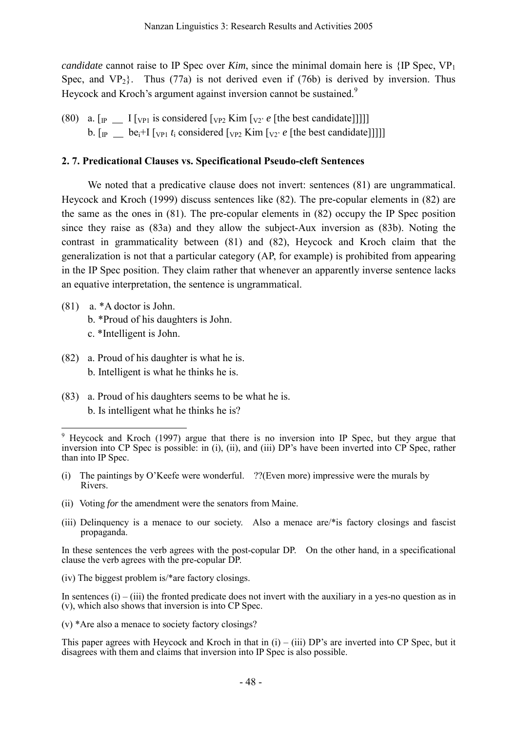*candidate* cannot raise to IP Spec over *Kim*, since the minimal domain here is  ${IP}$  Spec,  $VP_1$ Spec, and  $VP_2$ . Thus (77a) is not derived even if (76b) is derived by inversion. Thus Heycock and Kroch's argument against inversion cannot be sustained.<sup>[9](#page-17-0)</sup>

(80) a.  $\lceil p \rceil$  I  $\lceil v p \rceil$  is considered  $\lceil v p \rceil$  Kim  $\lceil v p \rceil$  *e* [the best candidate]]]] b.  $\lceil \mathbf{p} \rceil$  be<sub>i</sub>+I  $\lceil \mathbf{v}_{\text{P1}} t_i \rceil$  considered  $\lceil \mathbf{v}_{\text{P2}} \rceil$  Kim  $\lceil \mathbf{v}_{\text{2}} \rceil$  (the best candidate)]]]

#### **2. 7. Predicational Clauses vs. Specificational Pseudo-cleft Sentences**

We noted that a predicative clause does not invert: sentences (81) are ungrammatical. Heycock and Kroch (1999) discuss sentences like (82). The pre-copular elements in (82) are the same as the ones in (81). The pre-copular elements in (82) occupy the IP Spec position since they raise as (83a) and they allow the subject-Aux inversion as (83b). Noting the contrast in grammaticality between (81) and (82), Heycock and Kroch claim that the generalization is not that a particular category (AP, for example) is prohibited from appearing in the IP Spec position. They claim rather that whenever an apparently inverse sentence lacks an equative interpretation, the sentence is ungrammatical.

- (81) a. \*A doctor is John. b. \*Proud of his daughters is John. c. \*Intelligent is John.
- (82) a. Proud of his daughter is what he is. b. Intelligent is what he thinks he is.
- (83) a. Proud of his daughters seems to be what he is. b. Is intelligent what he thinks he is?

- (i) The paintings by O'Keefe were wonderful. ??(Even more) impressive were the murals by Rivers.
- (ii) Voting *for* the amendment were the senators from Maine.
- (iii) Delinquency is a menace to our society. Also a menace are/\*is factory closings and fascist propaganda.

In these sentences the verb agrees with the post-copular DP. On the other hand, in a specificational clause the verb agrees with the pre-copular DP.

(iv) The biggest problem is/\*are factory closings.

In sentences  $(i) - (iii)$  the fronted predicate does not invert with the auxiliary in a yes-no question as in (v), which also shows that inversion is into CP Spec.

(v) \*Are also a menace to society factory closings?

This paper agrees with Heycock and Kroch in that in  $(i) - (iii)$  DP's are inverted into CP Spec, but it disagrees with them and claims that inversion into IP Spec is also possible.

<span id="page-17-0"></span> $\overline{a}$ <sup>9</sup> Heycock and Kroch (1997) argue that there is no inversion into IP Spec, but they argue that inversion into CP Spec is possible: in (i), (ii), and (iii) DP's have been inverted into CP Spec, rather than into IP Spec.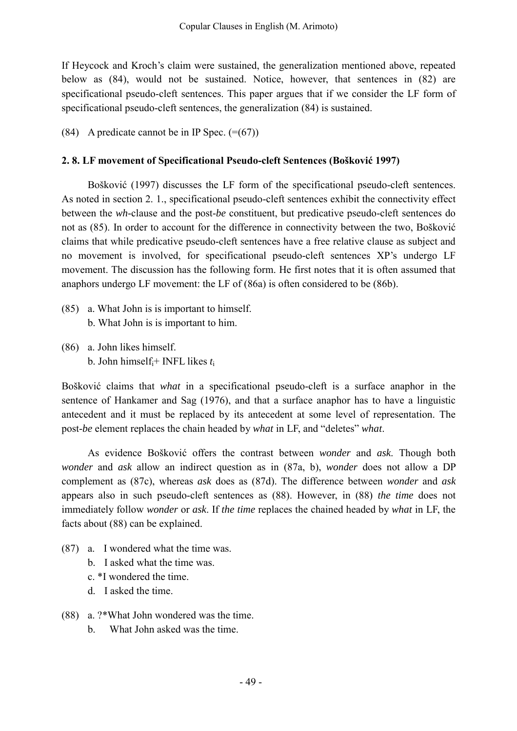If Heycock and Kroch's claim were sustained, the generalization mentioned above, repeated below as (84), would not be sustained. Notice, however, that sentences in (82) are specificational pseudo-cleft sentences. This paper argues that if we consider the LF form of specificational pseudo-cleft sentences, the generalization (84) is sustained.

(84) A predicate cannot be in IP Spec.  $(=(67))$ 

#### **2. 8. LF movement of Specificational Pseudo-cleft Sentences (Bošković 1997)**

 Bošković (1997) discusses the LF form of the specificational pseudo-cleft sentences. As noted in section 2. 1., specificational pseudo-cleft sentences exhibit the connectivity effect between the *wh*-clause and the post-*be* constituent, but predicative pseudo-cleft sentences do not as (85). In order to account for the difference in connectivity between the two, Bošković claims that while predicative pseudo-cleft sentences have a free relative clause as subject and no movement is involved, for specificational pseudo-cleft sentences XP's undergo LF movement. The discussion has the following form. He first notes that it is often assumed that anaphors undergo LF movement: the LF of (86a) is often considered to be (86b).

- (85) a. What John is is important to himself. b. What John is is important to him.
- (86) a. John likes himself. b. John himselfi+ INFL likes *t*i

Bošković claims that *what* in a specificational pseudo-cleft is a surface anaphor in the sentence of Hankamer and Sag (1976), and that a surface anaphor has to have a linguistic antecedent and it must be replaced by its antecedent at some level of representation. The post-*be* element replaces the chain headed by *what* in LF, and "deletes" *what*.

As evidence Bošković offers the contrast between *wonder* and *ask*. Though both *wonder* and *ask* allow an indirect question as in (87a, b), *wonder* does not allow a DP complement as (87c), whereas *ask* does as (87d). The difference between *wonder* and *ask* appears also in such pseudo-cleft sentences as (88). However, in (88) *the time* does not immediately follow *wonder* or *ask*. If *the time* replaces the chained headed by *what* in LF, the facts about (88) can be explained.

- (87) a. I wondered what the time was.
	- b. I asked what the time was.
	- c. \*I wondered the time.
	- d. I asked the time.
- (88) a. ?\*What John wondered was the time.
	- b. What John asked was the time.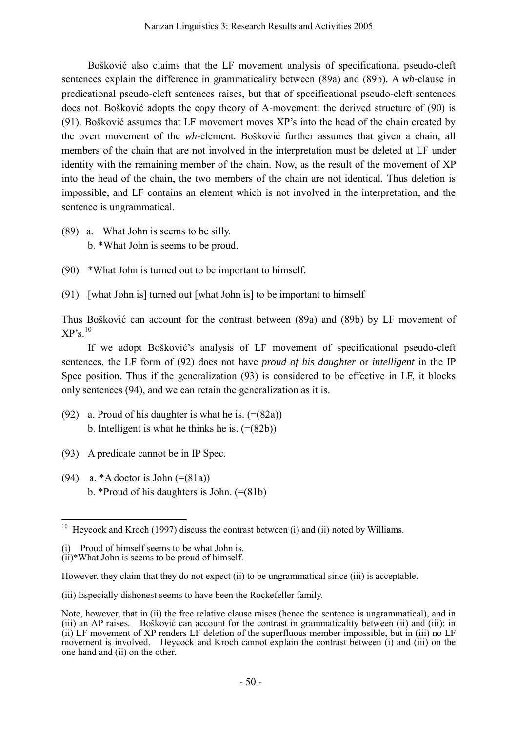Bošković also claims that the LF movement analysis of specificational pseudo-cleft sentences explain the difference in grammaticality between (89a) and (89b). A *wh*-clause in predicational pseudo-cleft sentences raises, but that of specificational pseudo-cleft sentences does not. Bošković adopts the copy theory of A-movement: the derived structure of (90) is (91). Bošković assumes that LF movement moves XP's into the head of the chain created by the overt movement of the *wh*-element. Bošković further assumes that given a chain, all members of the chain that are not involved in the interpretation must be deleted at LF under identity with the remaining member of the chain. Now, as the result of the movement of XP into the head of the chain, the two members of the chain are not identical. Thus deletion is impossible, and LF contains an element which is not involved in the interpretation, and the sentence is ungrammatical.

- (89) a. What John is seems to be silly. b. \*What John is seems to be proud.
- (90) \*What John is turned out to be important to himself.
- (91) [what John is] turned out [what John is] to be important to himself

Thus Bošković can account for the contrast between (89a) and (89b) by LF movement of  $XP's$ <sup>[10](#page-19-0)</sup>

 If we adopt Bošković's analysis of LF movement of specificational pseudo-cleft sentences, the LF form of (92) does not have *proud of his daughter* or *intelligent* in the IP Spec position. Thus if the generalization (93) is considered to be effective in LF, it blocks only sentences (94), and we can retain the generalization as it is.

- (92) a. Proud of his daughter is what he is.  $(=(82a))$ b. Intelligent is what he thinks he is.  $(=(82b))$
- (93) A predicate cannot be in IP Spec.
- (94) a.  $*A$  doctor is John (=(81a)) b. \*Proud of his daughters is John.  $(=(81b))$

<span id="page-19-0"></span> $\overline{a}$ <sup>10</sup> Heycock and Kroch (1997) discuss the contrast between (i) and (ii) noted by Williams.

<sup>(</sup>i) Proud of himself seems to be what John is.

<sup>(</sup>ii)\*What John is seems to be proud of himself.

However, they claim that they do not expect (ii) to be ungrammatical since (iii) is acceptable.

<sup>(</sup>iii) Especially dishonest seems to have been the Rockefeller family.

Note, however, that in (ii) the free relative clause raises (hence the sentence is ungrammatical), and in (iii) an AP raises. Bošković can account for the contrast in grammaticality between (ii) and (iii): in (ii) LF movement of XP renders LF deletion of the superfluous member impossible, but in (iii) no LF movement is involved. Heycock and Kroch cannot explain the contrast between (i) and (iii) on the one hand and (ii) on the other.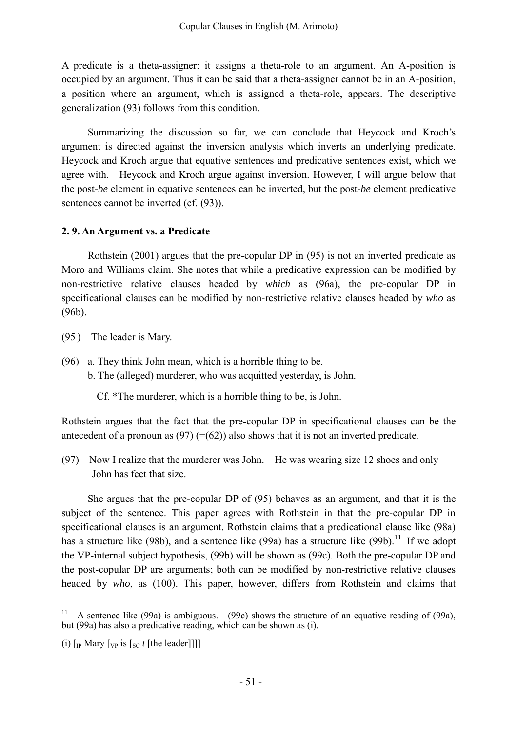A predicate is a theta-assigner: it assigns a theta-role to an argument. An A-position is occupied by an argument. Thus it can be said that a theta-assigner cannot be in an A-position, a position where an argument, which is assigned a theta-role, appears. The descriptive generalization (93) follows from this condition.

Summarizing the discussion so far, we can conclude that Heycock and Kroch's argument is directed against the inversion analysis which inverts an underlying predicate. Heycock and Kroch argue that equative sentences and predicative sentences exist, which we agree with. Heycock and Kroch argue against inversion. However, I will argue below that the post-*be* element in equative sentences can be inverted, but the post-*be* element predicative sentences cannot be inverted (cf. (93)).

#### **2. 9. An Argument vs. a Predicate**

Rothstein (2001) argues that the pre-copular DP in (95) is not an inverted predicate as Moro and Williams claim. She notes that while a predicative expression can be modified by non-restrictive relative clauses headed by *which* as (96a), the pre-copular DP in specificational clauses can be modified by non-restrictive relative clauses headed by *who* as (96b).

(95 ) The leader is Mary.

(96) a. They think John mean, which is a horrible thing to be. b. The (alleged) murderer, who was acquitted yesterday, is John.

Cf. \*The murderer, which is a horrible thing to be, is John.

Rothstein argues that the fact that the pre-copular DP in specificational clauses can be the antecedent of a pronoun as (97)  $(=(62))$  also shows that it is not an inverted predicate.

(97) Now I realize that the murderer was John. He was wearing size 12 shoes and only John has feet that size.

She argues that the pre-copular DP of (95) behaves as an argument, and that it is the subject of the sentence. This paper agrees with Rothstein in that the pre-copular DP in specificational clauses is an argument. Rothstein claims that a predicational clause like (98a) has a structure like (98b), and a sentence like (99a) has a structure like (99b).<sup>11</sup> If we adopt the VP-internal subject hypothesis, (99b) will be shown as (99c). Both the pre-copular DP and the post-copular DP are arguments; both can be modified by non-restrictive relative clauses headed by *who*, as (100). This paper, however, differs from Rothstein and claims that

<span id="page-20-0"></span> $11\,$ 11 A sentence like (99a) is ambiguous. (99c) shows the structure of an equative reading of (99a), but (99a) has also a predicative reading, which can be shown as (i).

<sup>(</sup>i)  $\lceil \ln \text{Mary} \rceil_{VP}$  is  $\lceil \text{sc } t \rceil$  [the leader]]]]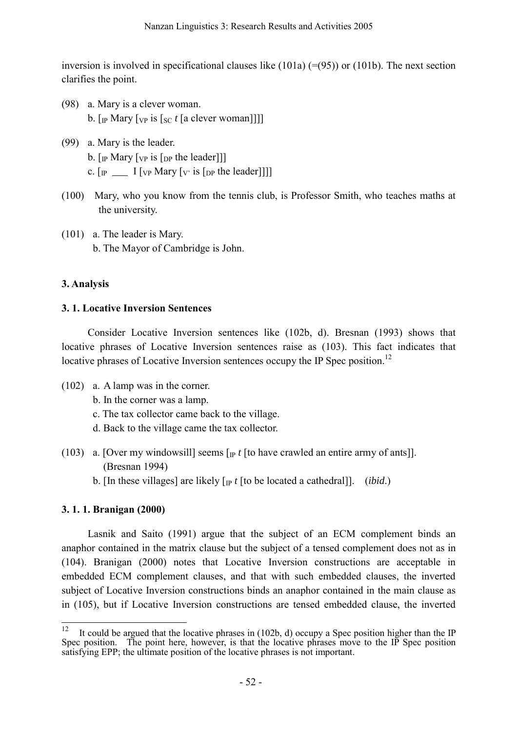inversion is involved in specificational clauses like  $(101a)$  (=(95)) or (101b). The next section clarifies the point.

- (98) a. Mary is a clever woman. b.  $\lceil p$  Mary  $\lceil \sqrt{vp} \rceil$  is  $\lceil \sqrt{sc} t \rceil$  a clever woman]]]
- (99) a. Mary is the leader. b.  $\lceil p$  Mary  $\lceil v_p \rceil$  is  $\lceil p_p \rceil$  the leader c.  $\lceil_{\text{IP}} \rfloor$  I  $\lceil_{\text{VP}}$  Mary  $\lceil_{\text{V}'}$  is  $\lceil_{\text{DP}}$  the leader]]]]
- (100) Mary, who you know from the tennis club, is Professor Smith, who teaches maths at the university.
- (101) a. The leader is Mary. b. The Mayor of Cambridge is John.

### **3. Analysis**

### **3. 1. Locative Inversion Sentences**

 Consider Locative Inversion sentences like (102b, d). Bresnan (1993) shows that locative phrases of Locative Inversion sentences raise as (103). This fact indicates that locative phrases of Locative Inversion sentences occupy the IP Spec position.<sup>[12](#page-21-0)</sup>

- (102) a. A lamp was in the corner.
	- b. In the corner was a lamp.
	- c. The tax collector came back to the village.
	- d. Back to the village came the tax collector.
- (103) a. [Over my windowsill] seems  $\lceil \frac{p}{p} t \rceil$  to have crawled an entire army of ants]]. (Bresnan 1994)
	- b. [In these villages] are likely  $\lceil_{\text{IP}} t \rceil$  to be located a cathedral]]. *(ibid.)*

### **3. 1. 1. Branigan (2000)**

 Lasnik and Saito (1991) argue that the subject of an ECM complement binds an anaphor contained in the matrix clause but the subject of a tensed complement does not as in (104). Branigan (2000) notes that Locative Inversion constructions are acceptable in embedded ECM complement clauses, and that with such embedded clauses, the inverted subject of Locative Inversion constructions binds an anaphor contained in the main clause as in (105), but if Locative Inversion constructions are tensed embedded clause, the inverted

<span id="page-21-0"></span> $12$ 12 It could be argued that the locative phrases in (102b, d) occupy a Spec position higher than the IP Spec position. The point here, however, is that the locative phrases move to the IP Spec position satisfying EPP; the ultimate position of the locative phrases is not important.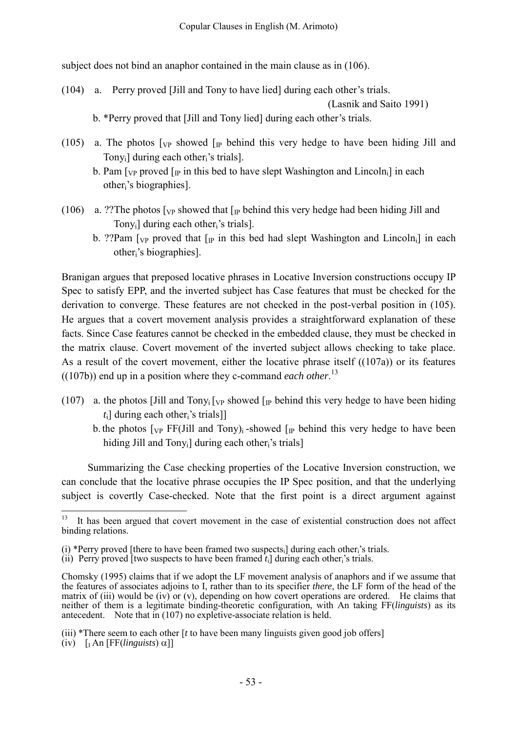<span id="page-22-0"></span>subject does not bind an anaphor contained in the main clause as in (106).

(104) a. Perry proved [Jill and Tony to have lied] during each other's trials.

b. \*Perry proved that [Jill and Tony lied] during each other's trials.

- (105) a. The photos  $\lceil v \rceil$  showed  $\lceil \rceil$  behind this very hedge to have been hiding Jill and Tony<sub>i</sub>] during each othere's trials].
	- b. Pam  $\lceil v \rceil$  proved  $\lceil \rceil$  in this bed to have slept Washington and Lincoln<sub>i</sub> in each otheri's biographies].
- (106) a. ??The photos  $\lceil v \rceil$  showed that  $\lceil \rceil$  behind this very hedge had been hiding Jill and Tony<sub>i</sub>] during each other<sub>i</sub>'s trials].
	- b. ??Pam  $\lceil v \rceil$  proved that  $\lceil \rceil$  in this bed had slept Washington and Lincoln<sub>i</sub> in each otheri's biographies].

Branigan argues that preposed locative phrases in Locative Inversion constructions occupy IP Spec to satisfy EPP, and the inverted subject has Case features that must be checked for the derivation to converge. These features are not checked in the post-verbal position in (105). He argues that a covert movement analysis provides a straightforward explanation of these facts. Since Case features cannot be checked in the embedded clause, they must be checked in the matrix clause. Covert movement of the inverted subject allows checking to take place. As a result of the covert movement, either the locative phrase itself ((107a)) or its features  $((107b))$  end up in a position where they c-command *each other*.<sup>13</sup>

- (107) a. the photos [Jill and Tony<sub>i</sub> [<sub>VP</sub> showed [<sub>IP</sub> behind this very hedge to have been hiding  $t_i$ ] during each other<sub>i</sub>'s trials]]
	- b. the photos  $[\nabla_{\mathbf{P}} F(\mathbf{J})]$  and Tony)<sub>i</sub>-showed  $[\nabla_{\mathbf{P}} F(\mathbf{J})]$  behind this very hedge to have been hiding Jill and Tony<sub>i</sub>] during each other<sub>i</sub>'s trials]

Summarizing the Case checking properties of the Locative Inversion construction, we can conclude that the locative phrase occupies the IP Spec position, and that the underlying subject is covertly Case-checked. Note that the first point is a direct argument against

 $\overline{a}$ 

<sup>(</sup>Lasnik and Saito 1991)

<sup>13</sup> It has been argued that covert movement in the case of existential construction does not affect binding relations.

 $(i)$  \*Perry proved [there to have been framed two suspects.] during each other 's trials.

<sup>(</sup>ii) Perry proved [two suspects to have been framed  $t_i$ ] during each othere is trials.

Chomsky (1995) claims that if we adopt the LF movement analysis of anaphors and if we assume that the features of associates adjoins to I, rather than to its specifier *there*, the LF form of the head of the matrix of (iii) would be (iv) or (v), depending on how covert operations are ordered. He claims that neither of them is a legitimate binding-theoretic configuration, with An taking FF(*linguists*) as its antecedent. Note that in (107) no expletive-associate relation is held.

<sup>(</sup>iii) \*There seem to each other [*t* to have been many linguists given good job offers]

 $(iv)$   $\left[$ <sub>L</sub>An [FF(*linguists*)  $\alpha$ ]]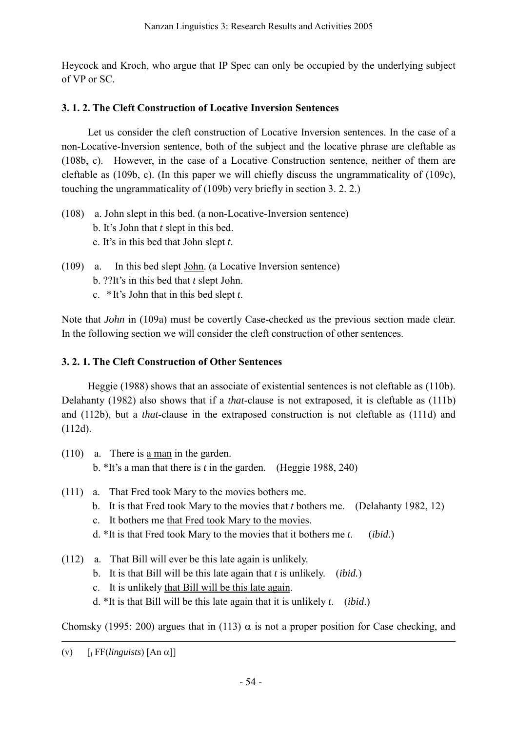Heycock and Kroch, who argue that IP Spec can only be occupied by the underlying subject of VP or SC.

# **3. 1. 2. The Cleft Construction of Locative Inversion Sentences**

 Let us consider the cleft construction of Locative Inversion sentences. In the case of a non-Locative-Inversion sentence, both of the subject and the locative phrase are cleftable as (108b, c). However, in the case of a Locative Construction sentence, neither of them are cleftable as (109b, c). (In this paper we will chiefly discuss the ungrammaticality of (109c), touching the ungrammaticality of (109b) very briefly in section 3. 2. 2.)

- (108) a. John slept in this bed. (a non-Locative-Inversion sentence) b. It's John that *t* slept in this bed. c. It's in this bed that John slept *t*.
- (109) a. In this bed slept John. (a Locative Inversion sentence)
	- b. ??It's in this bed that *t* slept John.
	- c. \* It's John that in this bed slept *t*.

Note that *John* in (109a) must be covertly Case-checked as the previous section made clear. In the following section we will consider the cleft construction of other sentences.

### **3. 2. 1. The Cleft Construction of Other Sentences**

 Heggie (1988) shows that an associate of existential sentences is not cleftable as (110b). Delahanty (1982) also shows that if a *that*-clause is not extraposed, it is cleftable as (111b) and (112b), but a *that*-clause in the extraposed construction is not cleftable as (111d) and (112d).

- (110) a. There is a man in the garden. b. \*It's a man that there is *t* in the garden. (Heggie 1988, 240)
- (111) a. That Fred took Mary to the movies bothers me.
	- b. It is that Fred took Mary to the movies that *t* bothers me. (Delahanty 1982, 12)
	- c. It bothers me that Fred took Mary to the movies.
	- d. \*It is that Fred took Mary to the movies that it bothers me *t*. (*ibid*.)
- (112) a. That Bill will ever be this late again is unlikely.
	- b. It is that Bill will be this late again that *t* is unlikely. (*ibid.*)
	- c. It is unlikely that Bill will be this late again.
	- d. \*It is that Bill will be this late again that it is unlikely *t*. (*ibid*.)

Chomsky (1995: 200) argues that in (113)  $\alpha$  is not a proper position for Case checking, and

 $\overline{a}$ (v)  $\left[\prod_{i} \text{FF}(linguists) \mid \text{An } \alpha\right]$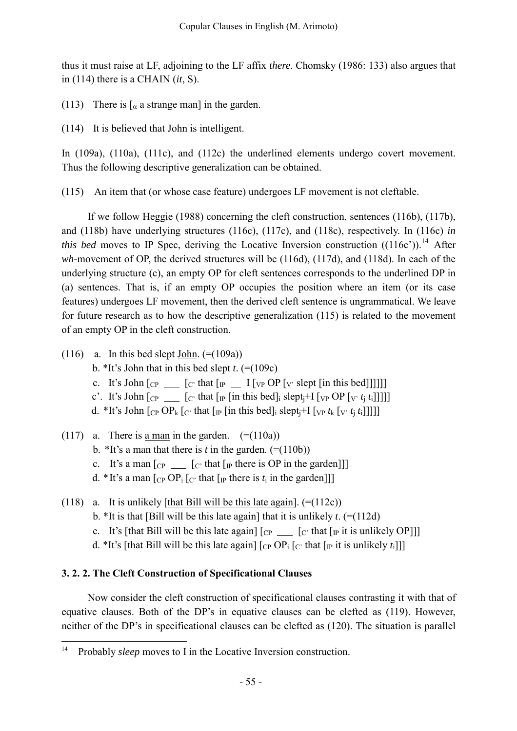thus it must raise at LF, adjoining to the LF affix *there*. Chomsky (1986: 133) also argues that in (114) there is a CHAIN (*it*, S).

(113) There is  $\lbrack \alpha \text{ a strange man} \rbrack$  in the garden.

(114) It is believed that John is intelligent.

In (109a), (110a), (111c), and (112c) the underlined elements undergo covert movement. Thus the following descriptive generalization can be obtained.

(115) An item that (or whose case feature) undergoes LF movement is not cleftable.

If we follow Heggie (1988) concerning the cleft construction, sentences (116b), (117b), and (118b) have underlying structures (116c), (117c), and (118c), respectively. In (116c) *in this bed* moves to IP Spec, deriving the Locative Inversion construction  $((116c))$ .<sup>14</sup> After *wh*-movement of OP, the derived structures will be (116d), (117d), and (118d). In each of the underlying structure (c), an empty OP for cleft sentences corresponds to the underlined DP in (a) sentences. That is, if an empty OP occupies the position where an item (or its case features) undergoes LF movement, then the derived cleft sentence is ungrammatical. We leave for future research as to how the descriptive generalization (115) is related to the movement of an empty OP in the cleft construction.

- (116) a. In this bed slept John.  $(=(109a))$ 
	- b. \*It's John that in this bed slept  $t$ . (=(109c)
	- c. It's John  $\begin{bmatrix} C^p \end{bmatrix}$   $\begin{bmatrix} C' \end{bmatrix}$  that  $\begin{bmatrix} I^p \end{bmatrix}$  I  $\begin{bmatrix} V^p \end{bmatrix}$  OP  $\begin{bmatrix} V' \end{bmatrix}$  slept  $\begin{bmatrix} \begin{bmatrix} \text{in this bed} \end{bmatrix} \end{bmatrix}$
	- c'. It's John  $\lbrack c_{\text{P}} \ \ldots \ \lbrack c_{\text{r}} \ \text{that} \ \lbrack \lbrack \lbrack \rbrack \ \text{in this bed} \rbrack_i \ \text{slept}_j + I \ \lbrack \lbrack \lbrack \lbrack \rbrack \ \text{vp OP} \ \lbrack \text{v} \ \text{r}_i \ t_i \rbrack \rbrack \rbrack \rbrack \rbrack$
	- d. \*It's John  $\lceil \frac{C_P}{C_P} \cdot \frac{C_P}{C_P} \cdot \frac{C_P}{C_P} \rceil$  in this bed<sub>li</sub> slept<sub>i</sub>+I  $\lceil \frac{C_P}{C_P} t_k \rceil$   $\lceil \frac{C_P}{C_P} t_k \rceil$
- (117) a. There is a man in the garden.  $(=(110a))$ 
	- b. \*It's a man that there is *t* in the garden.  $(=(110b))$
	- c. It's a man  $\lceil_{CP} \rceil$  [c' that  $\lceil_{IP}$  there is OP in the garden]]
	- d. \*It's a man  $\lceil_{\text{CP}} \text{OP}_i \rceil_c$  that  $\lceil_{\text{IP}}$  there is  $t_i$  in the garden]]
- (118) a. It is unlikely [that Bill will be this late again].  $(=(112c))$ 
	- b. \*It is that [Bill will be this late again] that it is unlikely  $t$ . (=(112d)
	- c. It's [that Bill will be this late again]  $[CP \_ [C^r \text{ that } [IP]$  it is unlikely OP]]]
	- d. \*It's [that Bill will be this late again]  $[CP \text{OP}_i]_{\text{C}}$  that  $[PP \text{P}_i]$  it is unlikely  $t_i$ ]]

# **3. 2. 2. The Cleft Construction of Specificational Clauses**

 Now consider the cleft construction of specificational clauses contrasting it with that of equative clauses. Both of the DP's in equative clauses can be clefted as (119). However, neither of the DP's in specificational clauses can be clefted as (120). The situation is parallel

<span id="page-24-0"></span> $14$ 14 Probably *sleep* moves to I in the Locative Inversion construction.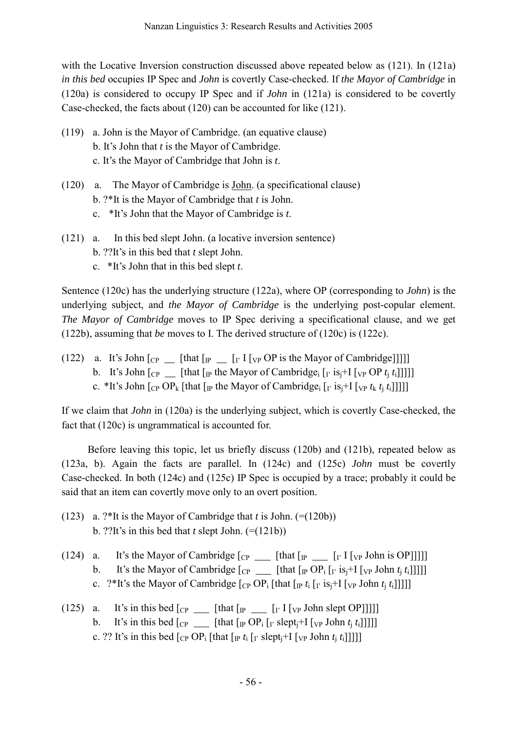with the Locative Inversion construction discussed above repeated below as (121). In (121a) *in this bed* occupies IP Spec and *John* is covertly Case-checked. If *the Mayor of Cambridge* in (120a) is considered to occupy IP Spec and if *John* in (121a) is considered to be covertly Case-checked, the facts about (120) can be accounted for like (121).

- (119) a. John is the Mayor of Cambridge. (an equative clause) b. It's John that *t* is the Mayor of Cambridge. c. It's the Mayor of Cambridge that John is *t*.
- (120) a. The Mayor of Cambridge is John. (a specificational clause) b. ?\*It is the Mayor of Cambridge that *t* is John.
	- c. \*It's John that the Mayor of Cambridge is *t*.
- (121) a. In this bed slept John. (a locative inversion sentence) b. ??It's in this bed that *t* slept John.
	- c. \*It's John that in this bed slept *t*.

Sentence (120c) has the underlying structure (122a), where OP (corresponding to *John*) is the underlying subject, and *the Mayor of Cambridge* is the underlying post-copular element. *The Mayor of Cambridge* moves to IP Spec deriving a specificational clause, and we get (122b), assuming that *be* moves to I. The derived structure of (120c) is (122c).

- (122) a. It's John  $\lceil_{CP} \rceil$  [that  $\lceil_{IP} \rceil$   $\lceil_{IP} \rceil$  [VP OP is the Mayor of Cambridge]]]]]
	- b. It's John  $\begin{bmatrix} C_P \end{bmatrix}$  [that  $\begin{bmatrix} \text{IP}$  the Mayor of Cambridge<sub>i</sub>  $\begin{bmatrix} \text{I}' & \text{I}' & \text{I}' \end{bmatrix}$ ]]]]
	- c. \*It's John  $\lceil \frac{C_P}{P_k} \rceil$  [that  $\lceil \frac{P}{P_k} \rceil$  the Mayor of Cambridge<sub>i</sub>  $\lceil \frac{P}{P_k} \rceil$  is<sub>i</sub>+I  $\lceil \frac{V_P}{P_k} t_k t_i t_i \rceil$ ]]]]

If we claim that *John* in (120a) is the underlying subject, which is covertly Case-checked, the fact that (120c) is ungrammatical is accounted for.

 Before leaving this topic, let us briefly discuss (120b) and (121b), repeated below as (123a, b). Again the facts are parallel. In (124c) and (125c) *John* must be covertly Case-checked. In both (124c) and (125c) IP Spec is occupied by a trace; probably it could be said that an item can covertly move only to an overt position.

- (123) a. ?\*It is the Mayor of Cambridge that *t* is John. (=(120b)) b. ??It's in this bed that  $t$  slept John.  $(=(121b))$
- (124) a. It's the Mayor of Cambridge  $\lceil_{CP} \rfloor$  [that  $\lceil_{IP} \rfloor$   $\lceil_{I\vert VP}$  John is OP]]]]] b. It's the Mayor of Cambridge  $\lceil_{CP} \rfloor$  [that  $\lceil_{IP} OP_i \rceil$  is<sub>i</sub>+I  $\lceil_{VP}$  John  $t_i t_i$ ]]]]] c. ?\*It's the Mayor of Cambridge  $[CP OP_i]$  [that  $[PP_i]$   $[r]$  is<sub>i</sub>+I  $[VP]$  John  $t_i$   $t_i$ ]]]]]
- (125) a. It's in this bed  $\begin{bmatrix} C_P \end{bmatrix}$  [that  $\begin{bmatrix} I_P \end{bmatrix}$  [ $\begin{bmatrix} I' \end{bmatrix}$  [ $\begin{bmatrix} V_P \end{bmatrix}$  John slept OP]]]]] b. It's in this bed  $\begin{bmatrix} C_P \\ \end{bmatrix}$  [that  $\begin{bmatrix} \begin{bmatrix} P \\ \end{bmatrix} OP_i \begin{bmatrix} P \end{bmatrix} \begin{bmatrix} P \\ \end{bmatrix} \begin{bmatrix} P \\ \end{bmatrix}$ ]]] c. ?? It's in this bed  $\lceil \frac{C_P}{P_i} \rceil$  [that  $\lceil \frac{P}{P_i} \rceil$  slept<sub>i</sub>+I  $\lceil \frac{C_P}{P_i} \rceil$ ]]]]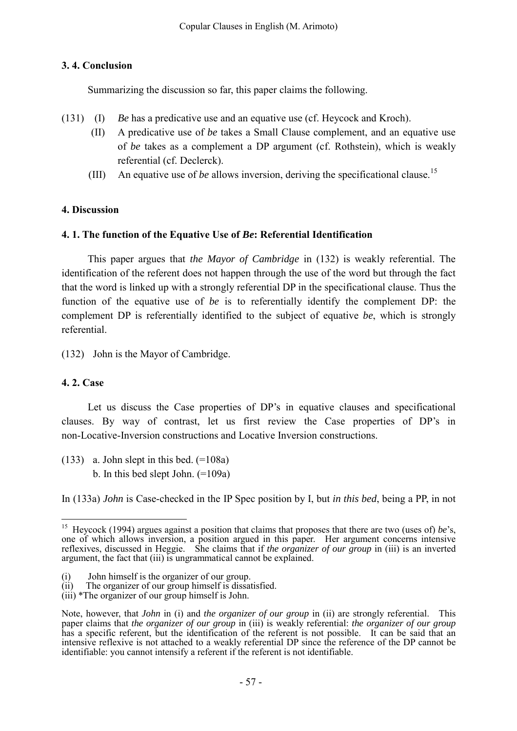# **3. 4. Conclusion**

Summarizing the discussion so far, this paper claims the following.

- (131) (I) *Be* has a predicative use and an equative use (cf. Heycock and Kroch).
	- (II) A predicative use of *be* takes a Small Clause complement, and an equative use of *be* takes as a complement a DP argument (cf. Rothstein), which is weakly referential (cf. Declerck).
	- (III) An equative use of *be* allows inversion, deriving the specificational clause.[15](#page-26-0)

#### **4. Discussion**

#### **4. 1. The function of the Equative Use of** *Be***: Referential Identification**

This paper argues that *the Mayor of Cambridge* in (132) is weakly referential. The identification of the referent does not happen through the use of the word but through the fact that the word is linked up with a strongly referential DP in the specificational clause. Thus the function of the equative use of *be* is to referentially identify the complement DP: the complement DP is referentially identified to the subject of equative *be*, which is strongly referential.

(132) John is the Mayor of Cambridge.

### **4. 2. Case**

 $\overline{a}$ 

Let us discuss the Case properties of DP's in equative clauses and specificational clauses. By way of contrast, let us first review the Case properties of DP's in non-Locative-Inversion constructions and Locative Inversion constructions.

 $(133)$  a. John slept in this bed.  $(=108a)$ b. In this bed slept John. (=109a)

In (133a) *John* is Case-checked in the IP Spec position by I, but *in this bed*, being a PP, in not

<span id="page-26-0"></span><sup>&</sup>lt;sup>15</sup> Heycock (1994) argues against a position that claims that proposes that there are two (uses of) *be*'s. one of which allows inversion, a position argued in this paper. Her argument concerns intensive reflexives, discussed in Heggie. She claims that if *the organizer of our group* in (iii) is an inverted argument, the fact that (iii) is ungrammatical cannot be explained.

<sup>(</sup>i) John himself is the organizer of our group.<br>(ii) The organizer of our group himself is dissated

The organizer of our group himself is dissatisfied.

<sup>(</sup>iii) \*The organizer of our group himself is John.

Note, however, that *John* in (i) and *the organizer of our group* in (ii) are strongly referential. This paper claims that *the organizer of our group* in (iii) is weakly referential: *the organizer of our group* has a specific referent, but the identification of the referent is not possible. It can be said that an intensive reflexive is not attached to a weakly referential DP since the reference of the DP cannot be identifiable: you cannot intensify a referent if the referent is not identifiable.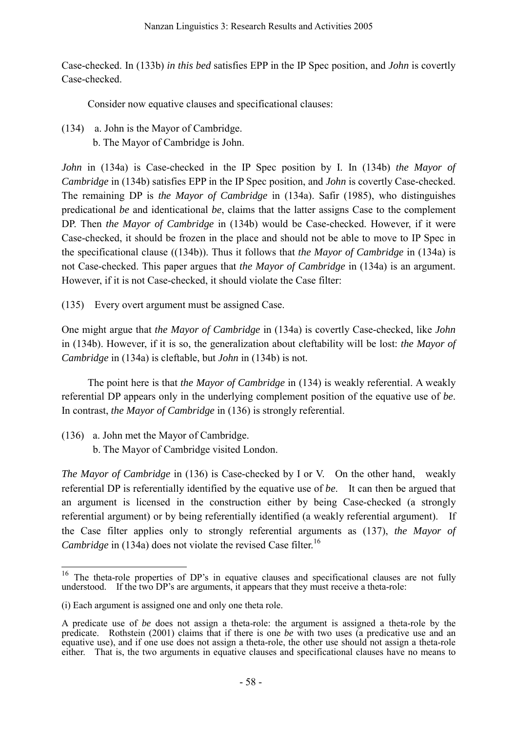Case-checked. In (133b) *in this bed* satisfies EPP in the IP Spec position, and *John* is covertly Case-checked.

Consider now equative clauses and specificational clauses:

(134) a. John is the Mayor of Cambridge. b. The Mayor of Cambridge is John.

*John* in (134a) is Case-checked in the IP Spec position by I. In (134b) *the Mayor of Cambridge* in (134b) satisfies EPP in the IP Spec position, and *John* is covertly Case-checked. The remaining DP is *the Mayor of Cambridge* in (134a). Safir (1985), who distinguishes predicational *be* and identicational *be*, claims that the latter assigns Case to the complement DP. Then *the Mayor of Cambridge* in (134b) would be Case-checked. However, if it were Case-checked, it should be frozen in the place and should not be able to move to IP Spec in the specificational clause ((134b)). Thus it follows that *the Mayor of Cambridge* in (134a) is not Case-checked. This paper argues that *the Mayor of Cambridge* in (134a) is an argument. However, if it is not Case-checked, it should violate the Case filter:

(135) Every overt argument must be assigned Case.

One might argue that *the Mayor of Cambridge* in (134a) is covertly Case-checked, like *John* in (134b). However, if it is so, the generalization about cleftability will be lost: *the Mayor of Cambridge* in (134a) is cleftable, but *John* in (134b) is not.

 The point here is that *the Mayor of Cambridge* in (134) is weakly referential. A weakly referential DP appears only in the underlying complement position of the equative use of *be*. In contrast, *the Mayor of Cambridge* in (136) is strongly referential.

- (136) a. John met the Mayor of Cambridge.
	- b. The Mayor of Cambridge visited London.

*The Mayor of Cambridge* in (136) is Case-checked by I or V. On the other hand, weakly referential DP is referentially identified by the equative use of *be*. It can then be argued that an argument is licensed in the construction either by being Case-checked (a strongly referential argument) or by being referentially identified (a weakly referential argument). If the Case filter applies only to strongly referential arguments as (137), *the Mayor of Cambridge* in (134a) does not violate the revised Case filter.<sup>[16](#page-27-0)</sup>

<span id="page-27-0"></span> $\overline{a}$ <sup>16</sup> The theta-role properties of DP's in equative clauses and specificational clauses are not fully understood. If the two DP's are arguments, it appears that they must receive a theta-role:

<sup>(</sup>i) Each argument is assigned one and only one theta role.

A predicate use of *be* does not assign a theta-role: the argument is assigned a theta-role by the predicate. Rothstein (2001) claims that if there is one *be* with two uses (a predicative use and an equative use), and if one use does not assign a theta-role, the other use should not assign a theta-role either. That is, the two arguments in equative clauses and specificational clauses have no means to